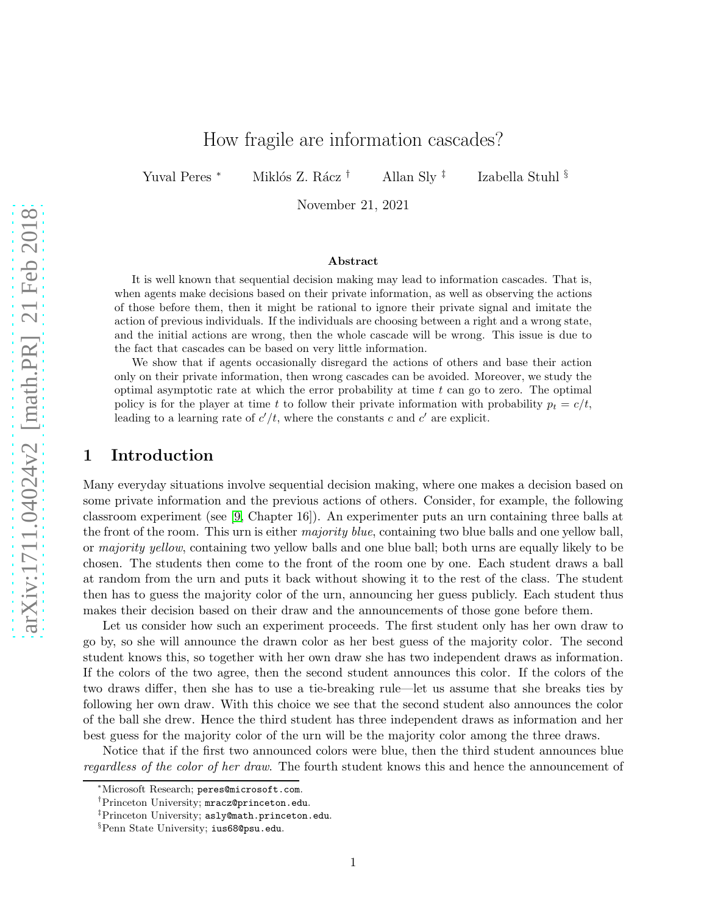# How fragile are information cascades?

Yuval Peres <sup>∗</sup> Miklós Z. Rácz <sup>†</sup> Allan Sly <sup>‡</sup>

Izabella Stuhl §

November 21, 2021

#### Abstract

It is well known that sequential decision making may lead to information cascades. That is, when agents make decisions based on their private information, as well as observing the actions of those before them, then it might be rational to ignore their private signal and imitate the action of previous individuals. If the individuals are choosing between a right and a wrong state, and the initial actions are wrong, then the whole cascade will be wrong. This issue is due to the fact that cascades can be based on very little information.

We show that if agents occasionally disregard the actions of others and base their action only on their private information, then wrong cascades can be avoided. Moreover, we study the optimal asymptotic rate at which the error probability at time  $t$  can go to zero. The optimal policy is for the player at time t to follow their private information with probability  $p_t = c/t$ , leading to a learning rate of  $c'/t$ , where the constants c and c' are explicit.

### 1 Introduction

Many everyday situations involve sequential decision making, where one makes a decision based on some private information and the previous actions of others. Consider, for example, the following classroom experiment (see [\[9,](#page-16-0) Chapter 16]). An experimenter puts an urn containing three balls at the front of the room. This urn is either *majority blue*, containing two blue balls and one yellow ball, or *majority yellow*, containing two yellow balls and one blue ball; both urns are equally likely to be chosen. The students then come to the front of the room one by one. Each student draws a ball at random from the urn and puts it back without showing it to the rest of the class. The student then has to guess the majority color of the urn, announcing her guess publicly. Each student thus makes their decision based on their draw and the announcements of those gone before them.

Let us consider how such an experiment proceeds. The first student only has her own draw to go by, so she will announce the drawn color as her best guess of the majority color. The second student knows this, so together with her own draw she has two independent draws as information. If the colors of the two agree, then the second student announces this color. If the colors of the two draws differ, then she has to use a tie-breaking rule—let us assume that she breaks ties by following her own draw. With this choice we see that the second student also announces the color of the ball she drew. Hence the third student has three independent draws as information and her best guess for the majority color of the urn will be the majority color among the three draws.

Notice that if the first two announced colors were blue, then the third student announces blue *regardless of the color of her draw*. The fourth student knows this and hence the announcement of

<sup>∗</sup>Microsoft Research; peres@microsoft.com.

<sup>†</sup>Princeton University; mracz@princeton.edu.

<sup>‡</sup>Princeton University; asly@math.princeton.edu.

<sup>§</sup>Penn State University; ius68@psu.edu.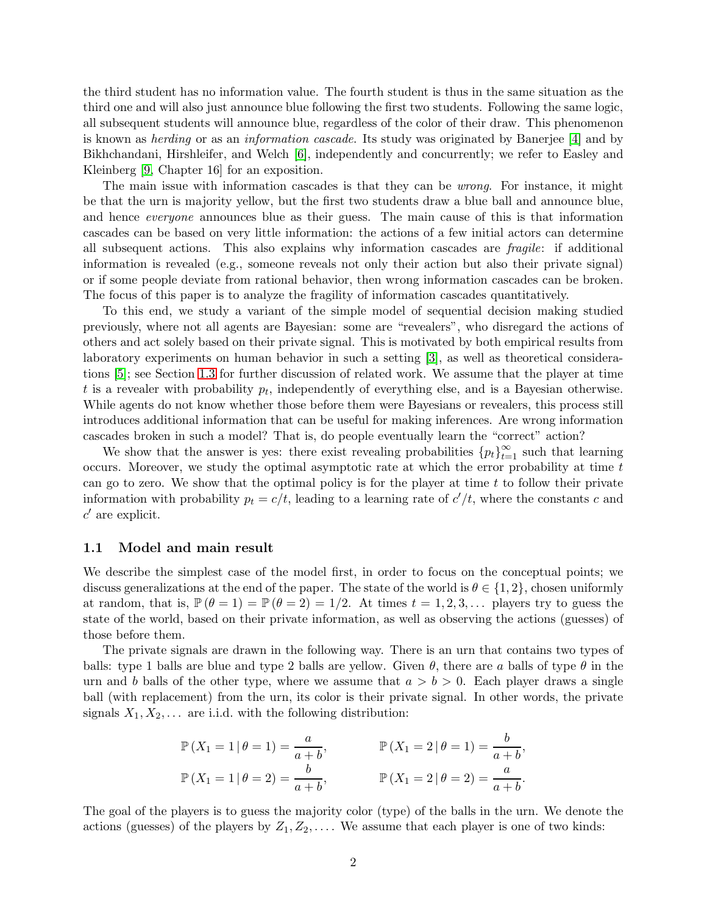the third student has no information value. The fourth student is thus in the same situation as the third one and will also just announce blue following the first two students. Following the same logic, all subsequent students will announce blue, regardless of the color of their draw. This phenomenon is known as *herding* or as an *information cascade*. Its study was originated by Banerjee [\[4\]](#page-16-1) and by Bikhchandani, Hirshleifer, and Welch [\[6\]](#page-16-2), independently and concurrently; we refer to Easley and Kleinberg [\[9,](#page-16-0) Chapter 16] for an exposition.

The main issue with information cascades is that they can be *wrong*. For instance, it might be that the urn is majority yellow, but the first two students draw a blue ball and announce blue, and hence *everyone* announces blue as their guess. The main cause of this is that information cascades can be based on very little information: the actions of a few initial actors can determine all subsequent actions. This also explains why information cascades are *fragile*: if additional information is revealed (e.g., someone reveals not only their action but also their private signal) or if some people deviate from rational behavior, then wrong information cascades can be broken. The focus of this paper is to analyze the fragility of information cascades quantitatively.

To this end, we study a variant of the simple model of sequential decision making studied previously, where not all agents are Bayesian: some are "revealers", who disregard the actions of others and act solely based on their private signal. This is motivated by both empirical results from laboratory experiments on human behavior in such a setting [\[3\]](#page-16-3), as well as theoretical considerations [\[5\]](#page-16-4); see Section [1.3](#page-3-0) for further discussion of related work. We assume that the player at time t is a revealer with probability  $p_t$ , independently of everything else, and is a Bayesian otherwise. While agents do not know whether those before them were Bayesians or revealers, this process still introduces additional information that can be useful for making inferences. Are wrong information cascades broken in such a model? That is, do people eventually learn the "correct" action?

We show that the answer is yes: there exist revealing probabilities  ${p_t}_{t=1}^{\infty}$  such that learning occurs. Moreover, we study the optimal asymptotic rate at which the error probability at time t can go to zero. We show that the optimal policy is for the player at time  $t$  to follow their private information with probability  $p_t = c/t$ , leading to a learning rate of  $c'/t$ , where the constants c and  $c'$  are explicit.

#### <span id="page-1-0"></span>1.1 Model and main result

We describe the simplest case of the model first, in order to focus on the conceptual points; we discuss generalizations at the end of the paper. The state of the world is  $\theta \in \{1,2\}$ , chosen uniformly at random, that is,  $\mathbb{P}(\theta = 1) = \mathbb{P}(\theta = 2) = 1/2$ . At times  $t = 1, 2, 3, \dots$  players try to guess the state of the world, based on their private information, as well as observing the actions (guesses) of those before them.

The private signals are drawn in the following way. There is an urn that contains two types of balls: type 1 balls are blue and type 2 balls are yellow. Given  $\theta$ , there are a balls of type  $\theta$  in the urn and b balls of the other type, where we assume that  $a > b > 0$ . Each player draws a single ball (with replacement) from the urn, its color is their private signal. In other words, the private signals  $X_1, X_2, \ldots$  are i.i.d. with the following distribution:

$$
\mathbb{P}(X_1 = 1 | \theta = 1) = \frac{a}{a+b}, \qquad \mathbb{P}(X_1 = 2 | \theta = 1) = \frac{b}{a+b}, \n\mathbb{P}(X_1 = 1 | \theta = 2) = \frac{b}{a+b}, \qquad \mathbb{P}(X_1 = 2 | \theta = 2) = \frac{a}{a+b}.
$$

The goal of the players is to guess the majority color (type) of the balls in the urn. We denote the actions (guesses) of the players by  $Z_1, Z_2, \ldots$ . We assume that each player is one of two kinds: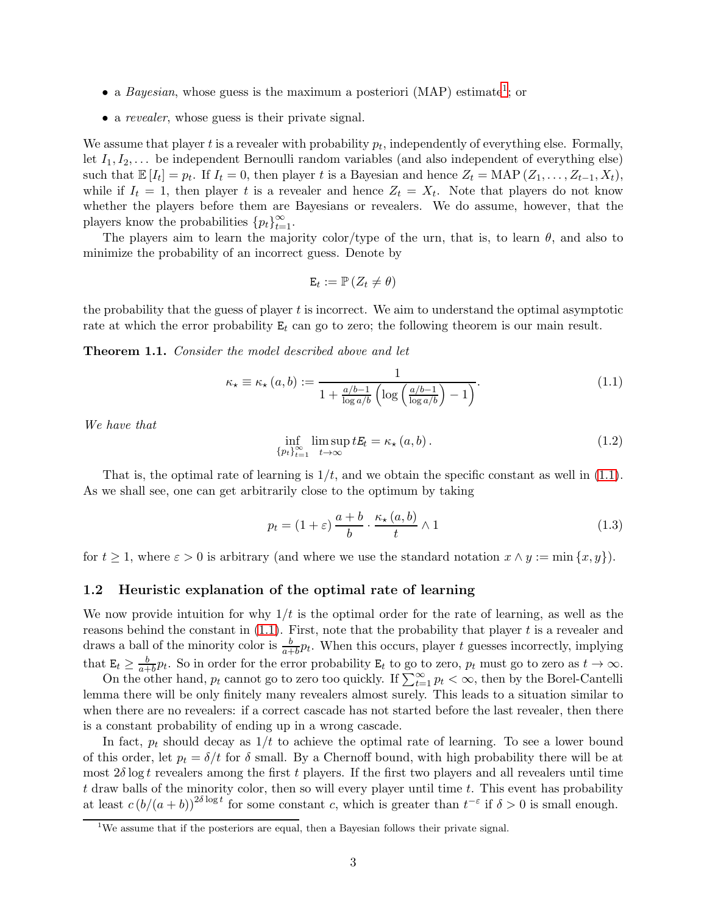- a *Bayesian*, whose guess is the maximum a posteriori (MAP) estimate<sup>[1](#page-2-0)</sup>; or
- a *revealer*, whose guess is their private signal.

We assume that player  $t$  is a revealer with probability  $p_t$ , independently of everything else. Formally, let  $I_1, I_2, \ldots$  be independent Bernoulli random variables (and also independent of everything else) such that  $\mathbb{E}[I_t] = p_t$ . If  $I_t = 0$ , then player t is a Bayesian and hence  $Z_t = \text{MAP}(Z_1, \ldots, Z_{t-1}, X_t)$ , while if  $I_t = 1$ , then player t is a revealer and hence  $Z_t = X_t$ . Note that players do not know whether the players before them are Bayesians or revealers. We do assume, however, that the players know the probabilities  $\{p_t\}_{t=1}^{\infty}$ .

The players aim to learn the majority color/type of the urn, that is, to learn  $\theta$ , and also to minimize the probability of an incorrect guess. Denote by

$$
\mathbf{E}_{t} := \mathbb{P}\left(Z_{t} \neq \theta\right)
$$

the probability that the guess of player  $t$  is incorrect. We aim to understand the optimal asymptotic rate at which the error probability  $E_t$  can go to zero; the following theorem is our main result.

<span id="page-2-3"></span>Theorem 1.1. *Consider the model described above and let*

<span id="page-2-1"></span>
$$
\kappa_{\star} \equiv \kappa_{\star} (a, b) := \frac{1}{1 + \frac{a/b - 1}{\log a/b} \left( \log \left( \frac{a/b - 1}{\log a/b} \right) - 1 \right)}.
$$
\n(1.1)

*We have that*

$$
\inf_{\{p_t\}_{t=1}^{\infty}} \limsup_{t \to \infty} t E_t = \kappa_\star (a, b).
$$
\n(1.2)

That is, the optimal rate of learning is  $1/t$ , and we obtain the specific constant as well in [\(1.1\)](#page-2-1). As we shall see, one can get arbitrarily close to the optimum by taking

<span id="page-2-2"></span>
$$
p_t = (1 + \varepsilon) \frac{a+b}{b} \cdot \frac{\kappa_\star(a,b)}{t} \wedge 1 \tag{1.3}
$$

for  $t \geq 1$ , where  $\varepsilon > 0$  is arbitrary (and where we use the standard notation  $x \wedge y := \min\{x, y\}$ ).

### 1.2 Heuristic explanation of the optimal rate of learning

We now provide intuition for why  $1/t$  is the optimal order for the rate of learning, as well as the reasons behind the constant in  $(1.1)$ . First, note that the probability that player t is a revealer and draws a ball of the minority color is  $\frac{b}{a+b}p_t$ . When this occurs, player t guesses incorrectly, implying that  $\mathbf{E}_t \geq \frac{b}{a+b}p_t$ . So in order for the error probability  $\mathbf{E}_t$  to go to zero,  $p_t$  must go to zero as  $t \to \infty$ .

On the other hand,  $p_t$  cannot go to zero too quickly. If  $\sum_{t=1}^{\infty} p_t < \infty$ , then by the Borel-Cantelli lemma there will be only finitely many revealers almost surely. This leads to a situation similar to when there are no revealers: if a correct cascade has not started before the last revealer, then there is a constant probability of ending up in a wrong cascade.

In fact,  $p_t$  should decay as  $1/t$  to achieve the optimal rate of learning. To see a lower bound of this order, let  $p_t = \delta/t$  for  $\delta$  small. By a Chernoff bound, with high probability there will be at most  $2\delta \log t$  revealers among the first t players. If the first two players and all revealers until time t draw balls of the minority color, then so will every player until time t. This event has probability at least  $c (b/(a+b))^{2\delta \log t}$  for some constant c, which is greater than  $t^{-\epsilon}$  if  $\delta > 0$  is small enough.

<span id="page-2-0"></span> $1$ We assume that if the posteriors are equal, then a Bayesian follows their private signal.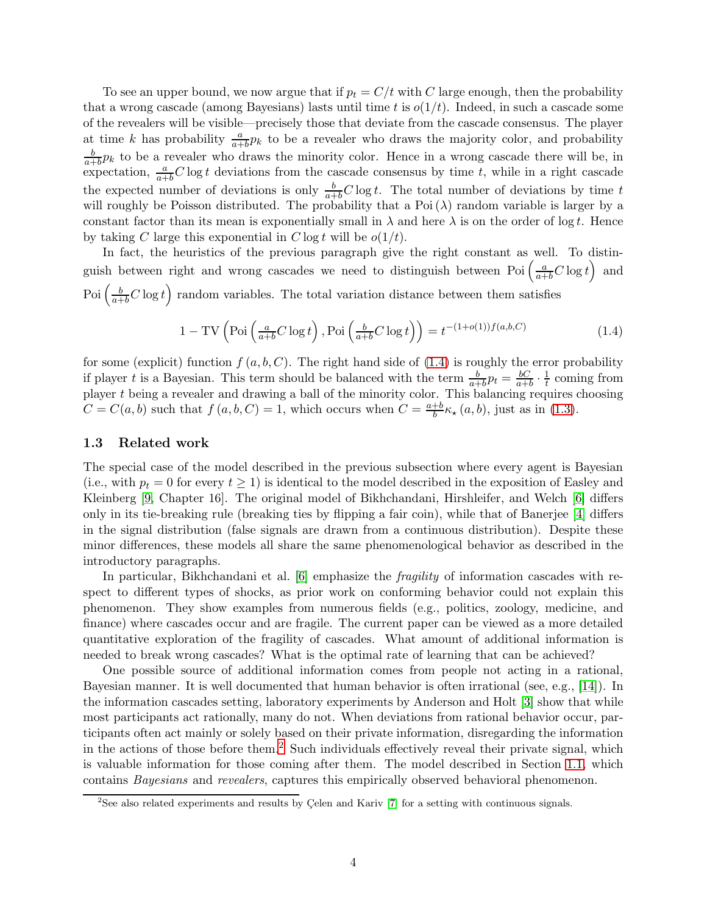To see an upper bound, we now argue that if  $p_t = C/t$  with C large enough, then the probability that a wrong cascade (among Bayesians) lasts until time t is  $o(1/t)$ . Indeed, in such a cascade some of the revealers will be visible—precisely those that deviate from the cascade consensus. The player at time k has probability  $\frac{a}{a+b}p_k$  to be a revealer who draws the majority color, and probability b  $\frac{b}{a+b}p_k$  to be a revealer who draws the minority color. Hence in a wrong cascade there will be, in expectation,  $\frac{a}{a+b}C$  log t deviations from the cascade consensus by time t, while in a right cascade the expected number of deviations is only  $\frac{b}{a+b}C \log t$ . The total number of deviations by time t will roughly be Poisson distributed. The probability that a Poi $(\lambda)$  random variable is larger by a constant factor than its mean is exponentially small in  $\lambda$  and here  $\lambda$  is on the order of log t. Hence by taking C large this exponential in C log t will be  $o(1/t)$ .

In fact, the heuristics of the previous paragraph give the right constant as well. To distinguish between right and wrong cascades we need to distinguish between Poi  $\left(\frac{a}{a+b}C\log t\right)$  and Poi  $\left(\frac{b}{a+b}C\log t\right)$  random variables. The total variation distance between them satisfies

<span id="page-3-1"></span>
$$
1 - TV \left( \text{Poi}\left(\frac{a}{a+b}C \log t\right), \text{Poi}\left(\frac{b}{a+b}C \log t\right) \right) = t^{-(1+o(1))f(a,b,C)} \tag{1.4}
$$

for some (explicit) function  $f(a, b, C)$ . The right hand side of [\(1.4\)](#page-3-1) is roughly the error probability if player t is a Bayesian. This term should be balanced with the term  $\frac{b}{a+b}p_t = \frac{bC}{a+b}p_t$  $\frac{bC}{a+b} \cdot \frac{1}{t}$  $\frac{1}{t}$  coming from player  $t$  being a revealer and drawing a ball of the minority color. This balancing requires choosing  $C = C(a, b)$  such that  $f(a, b, C) = 1$ , which occurs when  $C = \frac{a+b}{b}$  $\frac{b}{b} \kappa_{\star} (a, b)$ , just as in [\(1.3\)](#page-2-2).

#### <span id="page-3-0"></span>1.3 Related work

The special case of the model described in the previous subsection where every agent is Bayesian (i.e., with  $p_t = 0$  for every  $t \ge 1$ ) is identical to the model described in the exposition of Easley and Kleinberg [\[9,](#page-16-0) Chapter 16]. The original model of Bikhchandani, Hirshleifer, and Welch [\[6\]](#page-16-2) differs only in its tie-breaking rule (breaking ties by flipping a fair coin), while that of Banerjee [\[4\]](#page-16-1) differs in the signal distribution (false signals are drawn from a continuous distribution). Despite these minor differences, these models all share the same phenomenological behavior as described in the introductory paragraphs.

In particular, Bikhchandani et al. [\[6\]](#page-16-2) emphasize the *fragility* of information cascades with respect to different types of shocks, as prior work on conforming behavior could not explain this phenomenon. They show examples from numerous fields (e.g., politics, zoology, medicine, and finance) where cascades occur and are fragile. The current paper can be viewed as a more detailed quantitative exploration of the fragility of cascades. What amount of additional information is needed to break wrong cascades? What is the optimal rate of learning that can be achieved?

One possible source of additional information comes from people not acting in a rational, Bayesian manner. It is well documented that human behavior is often irrational (see, e.g., [\[14\]](#page-16-5)). In the information cascades setting, laboratory experiments by Anderson and Holt [\[3\]](#page-16-3) show that while most participants act rationally, many do not. When deviations from rational behavior occur, participants often act mainly or solely based on their private information, disregarding the information in the actions of those before them.<sup>[2](#page-3-2)</sup> Such individuals effectively reveal their private signal, which is valuable information for those coming after them. The model described in Section [1.1,](#page-1-0) which contains *Bayesians* and *revealers*, captures this empirically observed behavioral phenomenon.

<span id="page-3-2"></span><sup>&</sup>lt;sup>2</sup>See also related experiments and results by Celen and Kariv  $[7]$  for a setting with continuous signals.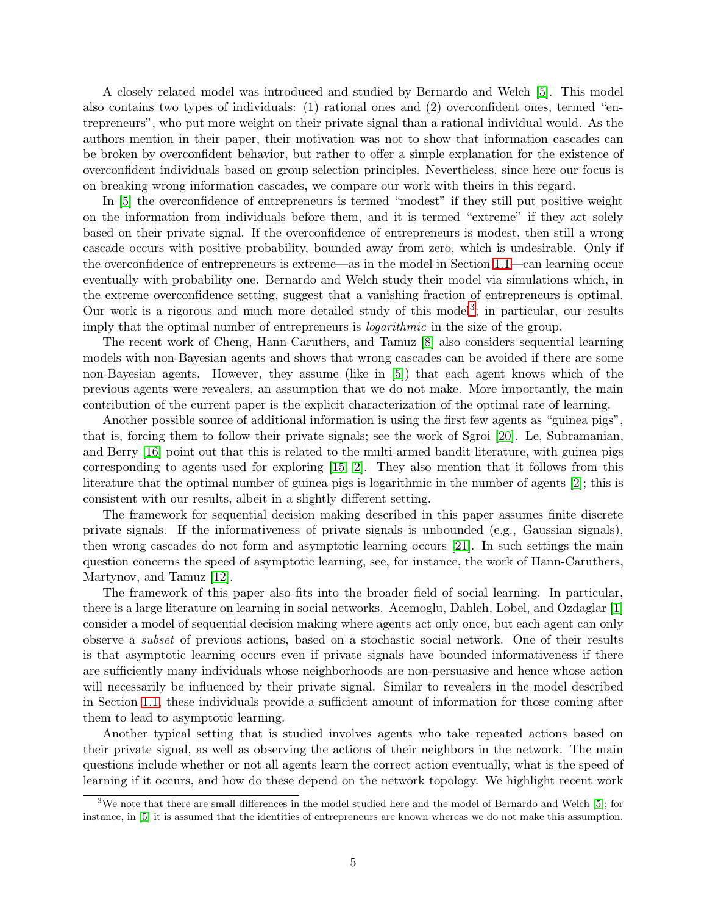A closely related model was introduced and studied by Bernardo and Welch [\[5\]](#page-16-4). This model also contains two types of individuals: (1) rational ones and (2) overconfident ones, termed "entrepreneurs", who put more weight on their private signal than a rational individual would. As the authors mention in their paper, their motivation was not to show that information cascades can be broken by overconfident behavior, but rather to offer a simple explanation for the existence of overconfident individuals based on group selection principles. Nevertheless, since here our focus is on breaking wrong information cascades, we compare our work with theirs in this regard.

In [\[5\]](#page-16-4) the overconfidence of entrepreneurs is termed "modest" if they still put positive weight on the information from individuals before them, and it is termed "extreme" if they act solely based on their private signal. If the overconfidence of entrepreneurs is modest, then still a wrong cascade occurs with positive probability, bounded away from zero, which is undesirable. Only if the overconfidence of entrepreneurs is extreme—as in the model in Section [1.1—](#page-1-0)can learning occur eventually with probability one. Bernardo and Welch study their model via simulations which, in the extreme overconfidence setting, suggest that a vanishing fraction of entrepreneurs is optimal. Our work is a rigorous and much more detailed study of this model<sup>[3](#page-4-0)</sup>; in particular, our results imply that the optimal number of entrepreneurs is *logarithmic* in the size of the group.

The recent work of Cheng, Hann-Caruthers, and Tamuz [\[8\]](#page-16-7) also considers sequential learning models with non-Bayesian agents and shows that wrong cascades can be avoided if there are some non-Bayesian agents. However, they assume (like in [\[5\]](#page-16-4)) that each agent knows which of the previous agents were revealers, an assumption that we do not make. More importantly, the main contribution of the current paper is the explicit characterization of the optimal rate of learning.

Another possible source of additional information is using the first few agents as "guinea pigs", that is, forcing them to follow their private signals; see the work of Sgroi [\[20\]](#page-17-0). Le, Subramanian, and Berry [\[16\]](#page-16-8) point out that this is related to the multi-armed bandit literature, with guinea pigs corresponding to agents used for exploring [\[15,](#page-16-9) [2\]](#page-16-10). They also mention that it follows from this literature that the optimal number of guinea pigs is logarithmic in the number of agents [\[2\]](#page-16-10); this is consistent with our results, albeit in a slightly different setting.

The framework for sequential decision making described in this paper assumes finite discrete private signals. If the informativeness of private signals is unbounded (e.g., Gaussian signals), then wrong cascades do not form and asymptotic learning occurs [\[21\]](#page-17-1). In such settings the main question concerns the speed of asymptotic learning, see, for instance, the work of Hann-Caruthers, Martynov, and Tamuz [\[12\]](#page-16-11).

The framework of this paper also fits into the broader field of social learning. In particular, there is a large literature on learning in social networks. Acemoglu, Dahleh, Lobel, and Ozdaglar [\[1\]](#page-15-0) consider a model of sequential decision making where agents act only once, but each agent can only observe a *subset* of previous actions, based on a stochastic social network. One of their results is that asymptotic learning occurs even if private signals have bounded informativeness if there are sufficiently many individuals whose neighborhoods are non-persuasive and hence whose action will necessarily be influenced by their private signal. Similar to revealers in the model described in Section [1.1,](#page-1-0) these individuals provide a sufficient amount of information for those coming after them to lead to asymptotic learning.

Another typical setting that is studied involves agents who take repeated actions based on their private signal, as well as observing the actions of their neighbors in the network. The main questions include whether or not all agents learn the correct action eventually, what is the speed of learning if it occurs, and how do these depend on the network topology. We highlight recent work

<span id="page-4-0"></span> $3$ We note that there are small differences in the model studied here and the model of Bernardo and Welch [\[5\]](#page-16-4); for instance, in [\[5\]](#page-16-4) it is assumed that the identities of entrepreneurs are known whereas we do not make this assumption.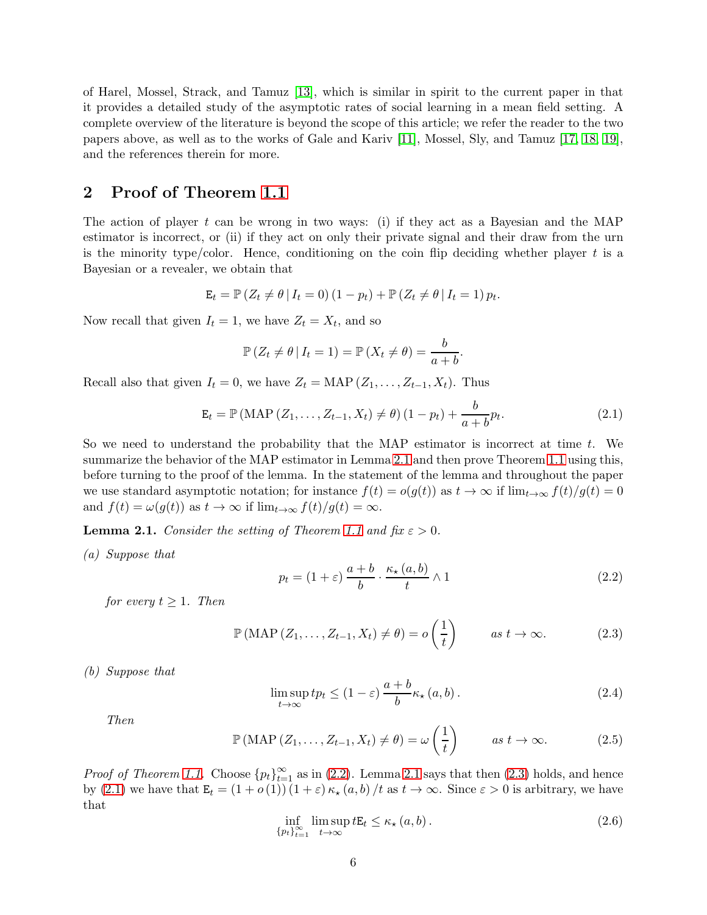of Harel, Mossel, Strack, and Tamuz [\[13\]](#page-16-12), which is similar in spirit to the current paper in that it provides a detailed study of the asymptotic rates of social learning in a mean field setting. A complete overview of the literature is beyond the scope of this article; we refer the reader to the two papers above, as well as to the works of Gale and Kariv [\[11\]](#page-16-13), Mossel, Sly, and Tamuz [\[17,](#page-16-14) [18,](#page-16-15) [19\]](#page-17-2), and the references therein for more.

# 2 Proof of Theorem [1.1](#page-2-3)

The action of player t can be wrong in two ways: (i) if they act as a Bayesian and the MAP estimator is incorrect, or (ii) if they act on only their private signal and their draw from the urn is the minority type/color. Hence, conditioning on the coin flip deciding whether player  $t$  is a Bayesian or a revealer, we obtain that

$$
\mathbf{E}_t = \mathbb{P}\left(Z_t \neq \theta \,|\, I_t = 0\right) (1 - p_t) + \mathbb{P}\left(Z_t \neq \theta \,|\, I_t = 1\right) p_t.
$$

Now recall that given  $I_t = 1$ , we have  $Z_t = X_t$ , and so

$$
\mathbb{P}\left(Z_t \neq \theta \,|\, I_t = 1\right) = \mathbb{P}\left(X_t \neq \theta\right) = \frac{b}{a+b}.
$$

Recall also that given  $I_t = 0$ , we have  $Z_t = \text{MAP}(Z_1, \ldots, Z_{t-1}, X_t)$ . Thus

<span id="page-5-3"></span>
$$
\mathbf{E}_{t} = \mathbb{P}(\text{MAP}(Z_{1},...,Z_{t-1},X_{t}) \neq \theta) (1 - p_{t}) + \frac{b}{a + b} p_{t}.
$$
 (2.1)

So we need to understand the probability that the MAP estimator is incorrect at time  $t$ . We summarize the behavior of the MAP estimator in Lemma [2.1](#page-5-0) and then prove Theorem [1.1](#page-2-3) using this, before turning to the proof of the lemma. In the statement of the lemma and throughout the paper we use standard asymptotic notation; for instance  $f(t) = o(g(t))$  as  $t \to \infty$  if  $\lim_{t \to \infty} f(t)/g(t) = 0$ and  $f(t) = \omega(g(t))$  as  $t \to \infty$  if  $\lim_{t \to \infty} f(t)/g(t) = \infty$ .

<span id="page-5-6"></span><span id="page-5-0"></span>**Lemma 2.1.** *Consider the setting of Theorem [1.1](#page-2-3) and fix*  $\varepsilon > 0$ *.* 

*(a) Suppose that*

<span id="page-5-1"></span>
$$
p_t = (1 + \varepsilon) \frac{a+b}{b} \cdot \frac{\kappa_\star(a,b)}{t} \wedge 1 \tag{2.2}
$$

*for every*  $t \geq 1$ *. Then* 

<span id="page-5-2"></span>
$$
\mathbb{P}(\text{MAP}(Z_1, \ldots, Z_{t-1}, X_t) \neq \theta) = o\left(\frac{1}{t}\right) \qquad \text{as } t \to \infty. \tag{2.3}
$$

<span id="page-5-7"></span>*(b) Suppose that*

<span id="page-5-4"></span>
$$
\limsup_{t \to \infty} t p_t \le (1 - \varepsilon) \frac{a + b}{b} \kappa_\star (a, b).
$$
\n(2.4)

*Then*

<span id="page-5-8"></span>
$$
\mathbb{P}(\text{MAP}(Z_1, \ldots, Z_{t-1}, X_t) \neq \theta) = \omega\left(\frac{1}{t}\right) \qquad \text{as } t \to \infty.
$$
 (2.5)

*Proof of Theorem [1.1.](#page-2-3)* Choose  ${p_t}_{t=1}^{\infty}$  as in [\(2.2\)](#page-5-1). Lemma [2.1](#page-5-0) says that then [\(2.3\)](#page-5-2) holds, and hence by [\(2.1\)](#page-5-3) we have that  $\mathbf{E}_t = (1 + o(1)) (1 + \varepsilon) \kappa_{\star} (a, b) / t$  as  $t \to \infty$ . Since  $\varepsilon > 0$  is arbitrary, we have that

<span id="page-5-5"></span>
$$
\inf_{\{p_t\}_{t=1}^{\infty}} \limsup_{t \to \infty} tE_t \le \kappa_\star (a, b).
$$
\n(2.6)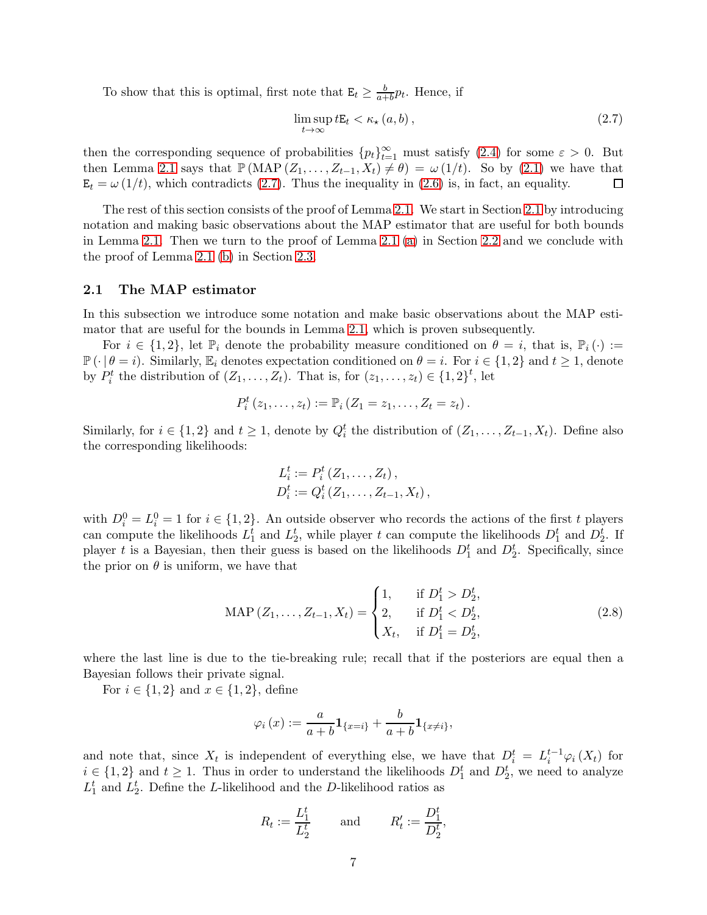To show that this is optimal, first note that  $\mathbf{E}_t \geq \frac{b}{a+b} p_t$ . Hence, if

<span id="page-6-0"></span>
$$
\limsup_{t \to \infty} t E_t < \kappa_\star (a, b), \tag{2.7}
$$

then the corresponding sequence of probabilities  ${p_t}_{t=1}^{\infty}$  must satisfy [\(2.4\)](#page-5-4) for some  $\varepsilon > 0$ . But then Lemma [2.1](#page-5-0) says that  $\mathbb{P}(\text{MAP}(Z_1, \ldots, Z_{t-1}, X_t) \neq \theta) = \omega(1/t)$ . So by [\(2.1\)](#page-5-3) we have that  $\mathbf{E}_t = \omega(1/t)$ , which contradicts [\(2.7\)](#page-6-0). Thus the inequality in [\(2.6\)](#page-5-5) is, in fact, an equality.  $\Box$ 

The rest of this section consists of the proof of Lemma [2.1.](#page-5-0) We start in Section [2.1](#page-6-1) by introducing notation and making basic observations about the MAP estimator that are useful for both bounds in Lemma [2.1.](#page-5-0) Then we turn to the proof of Lemma [2.1](#page-5-0) [\(a\)](#page-5-6) in Section [2.2](#page-7-0) and we conclude with the proof of Lemma [2.1](#page-5-0) [\(b\)](#page-5-7) in Section [2.3.](#page-11-0)

### <span id="page-6-1"></span>2.1 The MAP estimator

In this subsection we introduce some notation and make basic observations about the MAP estimator that are useful for the bounds in Lemma [2.1,](#page-5-0) which is proven subsequently.

For  $i \in \{1,2\}$ , let  $\mathbb{P}_i$  denote the probability measure conditioned on  $\theta = i$ , that is,  $\mathbb{P}_i(\cdot) :=$  $\mathbb{P}(\cdot | \theta = i)$ . Similarly,  $\mathbb{E}_i$  denotes expectation conditioned on  $\theta = i$ . For  $i \in \{1,2\}$  and  $t \geq 1$ , denote by  $P_i^t$  the distribution of  $(Z_1, \ldots, Z_t)$ . That is, for  $(z_1, \ldots, z_t) \in \{1, 2\}^t$ , let

$$
P_i^t(z_1,\ldots,z_t):=\mathbb{P}_i(Z_1=z_1,\ldots,Z_t=z_t).
$$

Similarly, for  $i \in \{1,2\}$  and  $t \geq 1$ , denote by  $Q_i^t$  the distribution of  $(Z_1, \ldots, Z_{t-1}, X_t)$ . Define also the corresponding likelihoods:

$$
L_i^t := P_i^t(Z_1, \dots, Z_t),
$$
  
\n
$$
D_i^t := Q_i^t(Z_1, \dots, Z_{t-1}, X_t),
$$

with  $D_i^0 = L_i^0 = 1$  for  $i \in \{1, 2\}$ . An outside observer who records the actions of the first t players can compute the likelihoods  $L_1^t$  and  $L_2^t$ , while player t can compute the likelihoods  $D_1^t$  and  $D_2^t$ . If player t is a Bayesian, then their guess is based on the likelihoods  $D_1^t$  and  $D_2^t$ . Specifically, since the prior on  $\theta$  is uniform, we have that

<span id="page-6-2"></span>
$$
\text{MAP}(Z_1, \dots, Z_{t-1}, X_t) = \begin{cases} 1, & \text{if } D_1^t > D_2^t, \\ 2, & \text{if } D_1^t < D_2^t, \\ X_t, & \text{if } D_1^t = D_2^t, \end{cases} \tag{2.8}
$$

where the last line is due to the tie-breaking rule; recall that if the posteriors are equal then a Bayesian follows their private signal.

For  $i \in \{1,2\}$  and  $x \in \{1,2\}$ , define

$$
\varphi_i(x) := \frac{a}{a+b} \mathbf{1}_{\{x=i\}} + \frac{b}{a+b} \mathbf{1}_{\{x \neq i\}},
$$

and note that, since  $X_t$  is independent of everything else, we have that  $D_i^t = L_i^{t-1} \varphi_i(X_t)$  for  $i \in \{1,2\}$  and  $t \geq 1$ . Thus in order to understand the likelihoods  $D_1^t$  and  $D_2^t$ , we need to analyze  $L_1^t$  and  $L_2^t$ . Define the L-likelihood and the D-likelihood ratios as

$$
R_t := \frac{L_1^t}{L_2^t} \quad \text{and} \quad R'_t := \frac{D_1^t}{D_2^t},
$$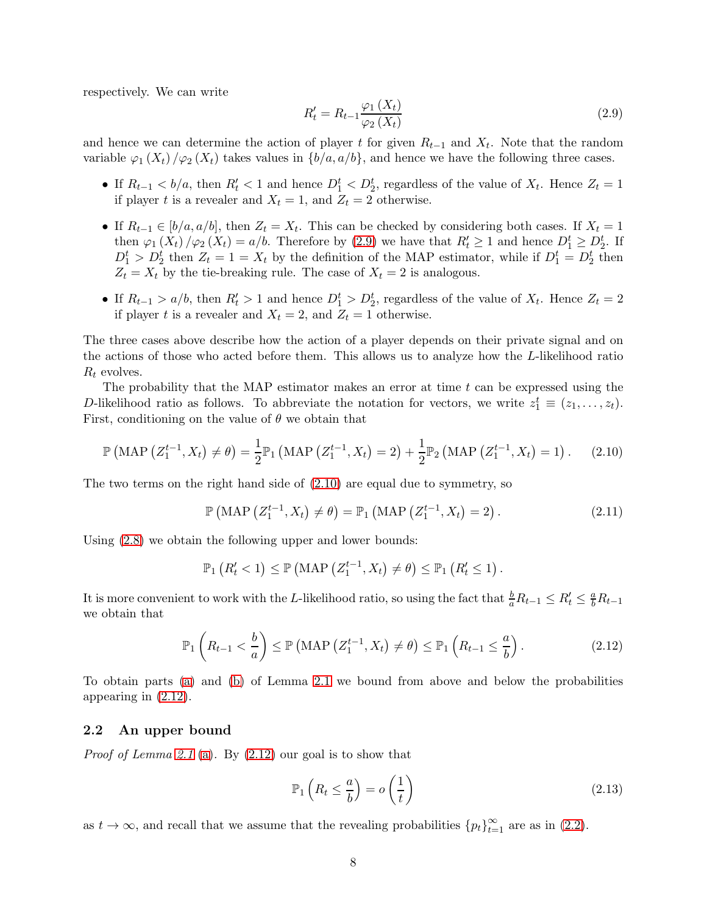respectively. We can write

<span id="page-7-1"></span>
$$
R_t' = R_{t-1} \frac{\varphi_1\left(X_t\right)}{\varphi_2\left(X_t\right)}\tag{2.9}
$$

and hence we can determine the action of player t for given  $R_{t-1}$  and  $X_t$ . Note that the random variable  $\varphi_1(X_t)/\varphi_2(X_t)$  takes values in  $\{b/a, a/b\}$ , and hence we have the following three cases.

- If  $R_{t-1} < b/a$ , then  $R'_t < 1$  and hence  $D_1^t < D_2^t$ , regardless of the value of  $X_t$ . Hence  $Z_t = 1$ if player t is a revealer and  $X_t = 1$ , and  $Z_t = 2$  otherwise.
- If  $R_{t-1} \in [b/a, a/b]$ , then  $Z_t = X_t$ . This can be checked by considering both cases. If  $X_t = 1$ then  $\varphi_1(X_t)/\varphi_2(X_t) = a/b$ . Therefore by [\(2.9\)](#page-7-1) we have that  $R'_t \geq 1$  and hence  $D_1^t \geq D_2^t$ . If  $D_1^t > D_2^t$  then  $Z_t = 1 = X_t$  by the definition of the MAP estimator, while if  $D_1^t = D_2^t$  then  $Z_t = X_t$  by the tie-breaking rule. The case of  $X_t = 2$  is analogous.
- If  $R_{t-1} > a/b$ , then  $R'_t > 1$  and hence  $D_1^t > D_2^t$ , regardless of the value of  $X_t$ . Hence  $Z_t = 2$ if player t is a revealer and  $X_t = 2$ , and  $Z_t = 1$  otherwise.

The three cases above describe how the action of a player depends on their private signal and on the actions of those who acted before them. This allows us to analyze how the L-likelihood ratio  $R_t$  evolves.

The probability that the MAP estimator makes an error at time  $t$  can be expressed using the D-likelihood ratio as follows. To abbreviate the notation for vectors, we write  $z_1^t \equiv (z_1, \ldots, z_t)$ . First, conditioning on the value of  $\theta$  we obtain that

<span id="page-7-2"></span>
$$
\mathbb{P}\left(\text{MAP}\left(Z_{1}^{t-1}, X_{t}\right) \neq \theta\right) = \frac{1}{2} \mathbb{P}_{1}\left(\text{MAP}\left(Z_{1}^{t-1}, X_{t}\right) = 2\right) + \frac{1}{2} \mathbb{P}_{2}\left(\text{MAP}\left(Z_{1}^{t-1}, X_{t}\right) = 1\right). \tag{2.10}
$$

The two terms on the right hand side of  $(2.10)$  are equal due to symmetry, so

<span id="page-7-5"></span>
$$
\mathbb{P}\left(\text{MAP}\left(Z_{1}^{t-1}, X_{t}\right) \neq \theta\right) = \mathbb{P}_{1}\left(\text{MAP}\left(Z_{1}^{t-1}, X_{t}\right) = 2\right). \tag{2.11}
$$

Using [\(2.8\)](#page-6-2) we obtain the following upper and lower bounds:

$$
\mathbb{P}_1\left(R'_t<1\right)\leq \mathbb{P}\left(\text{MAP}\left(Z_1^{t-1},X_t\right)\neq \theta\right)\leq \mathbb{P}_1\left(R'_t\leq 1\right).
$$

It is more convenient to work with the L-likelihood ratio, so using the fact that  $\frac{b}{a}R_{t-1} \le R'_t \le \frac{a}{b}R_{t-1}$ we obtain that

<span id="page-7-3"></span>
$$
\mathbb{P}_1\left(R_{t-1} < \frac{b}{a}\right) \le \mathbb{P}\left(\text{MAP}\left(Z_1^{t-1}, X_t\right) \ne \theta\right) \le \mathbb{P}_1\left(R_{t-1} \le \frac{a}{b}\right). \tag{2.12}
$$

To obtain parts [\(a\)](#page-5-6) and [\(b\)](#page-5-7) of Lemma [2.1](#page-5-0) we bound from above and below the probabilities appearing in [\(2.12\)](#page-7-3).

### <span id="page-7-0"></span>2.2 An upper bound

*Proof of Lemma [2.1](#page-5-0)* [\(a\)](#page-5-6)*.* By [\(2.12\)](#page-7-3) our goal is to show that

<span id="page-7-4"></span>
$$
\mathbb{P}_1\left(R_t \leq \frac{a}{b}\right) = o\left(\frac{1}{t}\right) \tag{2.13}
$$

as  $t \to \infty$ , and recall that we assume that the revealing probabilities  ${p_t}_{t=1}^{\infty}$  are as in [\(2.2\)](#page-5-1).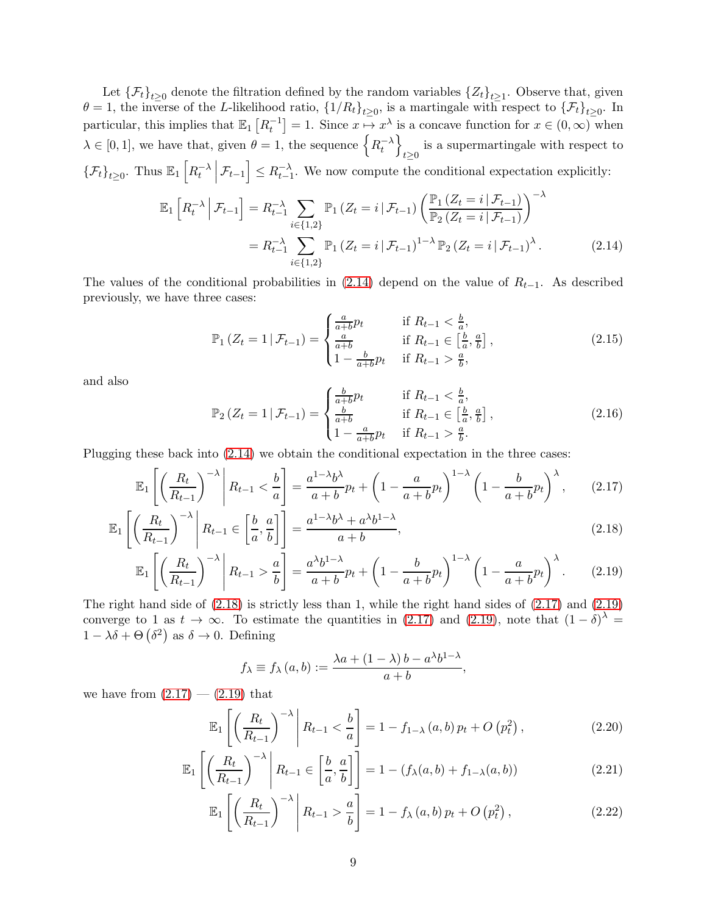Let  $\{\mathcal{F}_t\}_{t\geq 0}$  denote the filtration defined by the random variables  $\{Z_t\}_{t\geq 1}$ . Observe that, given  $\theta = 1$ , the inverse of the L-likelihood ratio,  $\{1/R_t\}_{t\geq 0}$ , is a martingale with respect to  $\{\mathcal{F}_t\}_{t\geq 0}$ . In particular, this implies that  $\mathbb{E}_1[R_t^{-1}] = 1$ . Since  $x \mapsto x^{\lambda}$  is a concave function for  $x \in (0, \infty)$  when  $\lambda \in [0, 1]$ , we have that, given  $\theta = 1$ , the sequence  $\left\{ R_t^{-\lambda} \right\}$  $\mathcal{L}$ is a supermartingale with respect to  $t \geq 0$  $\{\mathcal{F}_t\}_{t\geq 0}$ . Thus  $\mathbb{E}_1\left[R_t^{-\lambda}\right]$  $\left[\mathcal{F}_{t-1}\right] \leq R_{t-1}^{-\lambda}$ . We now compute the conditional expectation explicitly:

$$
\mathbb{E}_{1}\left[R_{t}^{-\lambda}\,\middle|\,\mathcal{F}_{t-1}\right] = R_{t-1}^{-\lambda} \sum_{i \in \{1,2\}} \mathbb{P}_{1}\left(Z_{t} = i \,|\,\mathcal{F}_{t-1}\right) \left(\frac{\mathbb{P}_{1}\left(Z_{t} = i \,|\,\mathcal{F}_{t-1}\right)}{\mathbb{P}_{2}\left(Z_{t} = i \,|\,\mathcal{F}_{t-1}\right)}\right)^{-\lambda}
$$
\n
$$
= R_{t-1}^{-\lambda} \sum_{i \in \{1,2\}} \mathbb{P}_{1}\left(Z_{t} = i \,|\,\mathcal{F}_{t-1}\right)^{1-\lambda} \mathbb{P}_{2}\left(Z_{t} = i \,|\,\mathcal{F}_{t-1}\right)^{\lambda}.
$$
\n(2.14)

The values of the conditional probabilities in [\(2.14\)](#page-8-0) depend on the value of  $R_{t-1}$ . As described previously, we have three cases:

<span id="page-8-7"></span><span id="page-8-0"></span>
$$
\mathbb{P}_1\left(Z_t = 1 \,|\, \mathcal{F}_{t-1}\right) = \begin{cases} \frac{a}{a+b} p_t & \text{if } R_{t-1} < \frac{b}{a},\\ \frac{a}{a+b} & \text{if } R_{t-1} \in \left[\frac{b}{a}, \frac{a}{b}\right],\\ 1 - \frac{b}{a+b} p_t & \text{if } R_{t-1} > \frac{a}{b}, \end{cases} \tag{2.15}
$$

and also

<span id="page-8-8"></span><span id="page-8-2"></span>
$$
\mathbb{P}_2\left(Z_t = 1 \,|\, \mathcal{F}_{t-1}\right) = \begin{cases} \frac{b}{a+b} p_t & \text{if } R_{t-1} < \frac{b}{a},\\ \frac{b}{a+b} & \text{if } R_{t-1} \in \left[\frac{b}{a}, \frac{a}{b}\right],\\ 1 - \frac{a}{a+b} p_t & \text{if } R_{t-1} > \frac{a}{b}. \end{cases} \tag{2.16}
$$

Plugging these back into [\(2.14\)](#page-8-0) we obtain the conditional expectation in the three cases:

$$
\mathbb{E}_1\left[\left(\frac{R_t}{R_{t-1}}\right)^{-\lambda}\middle|R_{t-1}<\frac{b}{a}\right] = \frac{a^{1-\lambda}b^{\lambda}}{a+b}p_t + \left(1 - \frac{a}{a+b}p_t\right)^{1-\lambda}\left(1 - \frac{b}{a+b}p_t\right)^{\lambda},\qquad(2.17)
$$

$$
\mathbb{E}_1\left[\left(\frac{R_t}{R_{t-1}}\right)^{-\lambda}\middle| R_{t-1} \in \left[\frac{b}{a}, \frac{a}{b}\right]\right] = \frac{a^{1-\lambda}b^{\lambda} + a^{\lambda}b^{1-\lambda}}{a+b},\tag{2.18}
$$

$$
\mathbb{E}_1\left[\left(\frac{R_t}{R_{t-1}}\right)^{-\lambda}\middle|R_{t-1} > \frac{a}{b}\right] = \frac{a^{\lambda}b^{1-\lambda}}{a+b}p_t + \left(1 - \frac{b}{a+b}p_t\right)^{1-\lambda}\left(1 - \frac{a}{a+b}p_t\right)^{\lambda}.\tag{2.19}
$$

The right hand side of [\(2.18\)](#page-8-1) is strictly less than 1, while the right hand sides of [\(2.17\)](#page-8-2) and [\(2.19\)](#page-8-3) converge to 1 as  $t \to \infty$ . To estimate the quantities in [\(2.17\)](#page-8-2) and [\(2.19\)](#page-8-3), note that  $(1-\delta)^{\lambda}$  =  $1 - \lambda \delta + \Theta(\delta^2)$  as  $\delta \to 0$ . Defining

<span id="page-8-6"></span><span id="page-8-5"></span><span id="page-8-4"></span><span id="page-8-3"></span><span id="page-8-1"></span>
$$
f_{\lambda} \equiv f_{\lambda}(a, b) := \frac{\lambda a + (1 - \lambda) b - a^{\lambda} b^{1 - \lambda}}{a + b},
$$

we have from  $(2.17) - (2.19)$  $(2.17) - (2.19)$  that

$$
\mathbb{E}_1\left[\left(\frac{R_t}{R_{t-1}}\right)^{-\lambda}\middle| R_{t-1} < \frac{b}{a}\right] = 1 - f_{1-\lambda}(a, b)\,p_t + O\left(p_t^2\right),\tag{2.20}
$$

$$
\mathbb{E}_1\left[\left(\frac{R_t}{R_{t-1}}\right)^{-\lambda}\middle| R_{t-1} \in \left[\frac{b}{a}, \frac{a}{b}\right]\right] = 1 - \left(f_\lambda(a, b) + f_{1-\lambda}(a, b)\right) \tag{2.21}
$$

$$
\mathbb{E}_1\left[\left(\frac{R_t}{R_{t-1}}\right)^{-\lambda}\middle|R_{t-1} > \frac{a}{b}\right] = 1 - f_\lambda\left(a, b\right)p_t + O\left(p_t^2\right),\tag{2.22}
$$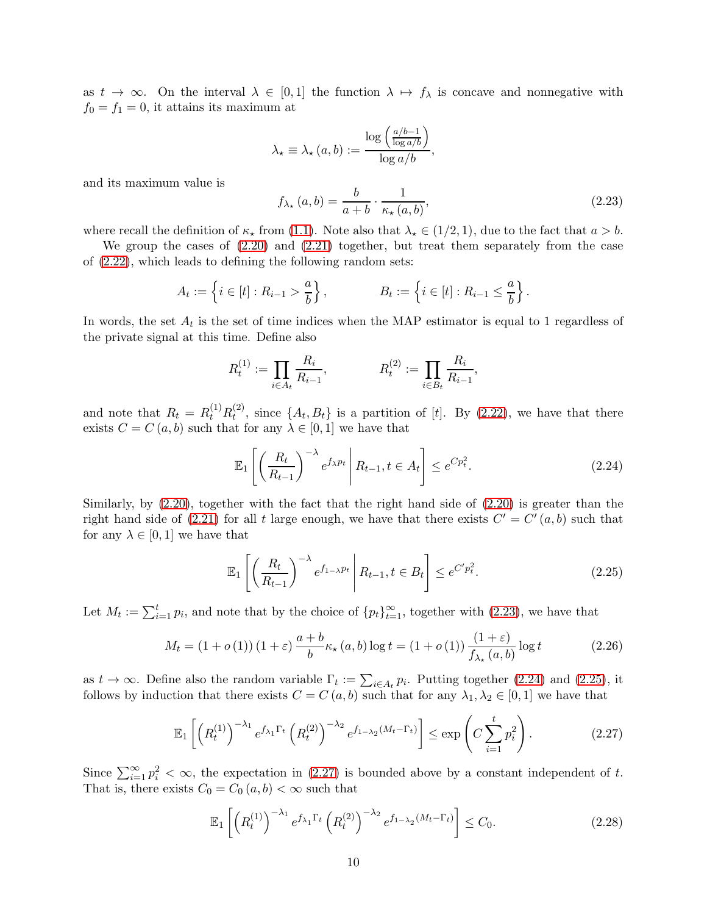as  $t \to \infty$ . On the interval  $\lambda \in [0,1]$  the function  $\lambda \mapsto f_\lambda$  is concave and nonnegative with  $f_0 = f_1 = 0$ , it attains its maximum at

$$
\lambda_{\star} \equiv \lambda_{\star} (a, b) := \frac{\log \left( \frac{a/b - 1}{\log a/b} \right)}{\log a/b},
$$

and its maximum value is

<span id="page-9-0"></span>
$$
f_{\lambda_{\star}}(a,b) = \frac{b}{a+b} \cdot \frac{1}{\kappa_{\star}(a,b)},
$$
\n(2.23)

where recall the definition of  $\kappa_{\star}$  from [\(1.1\)](#page-2-1). Note also that  $\lambda_{\star} \in (1/2, 1)$ , due to the fact that  $a > b$ .

We group the cases of [\(2.20\)](#page-8-4) and [\(2.21\)](#page-8-5) together, but treat them separately from the case of [\(2.22\)](#page-8-6), which leads to defining the following random sets:

$$
A_t := \left\{ i \in [t] : R_{i-1} > \frac{a}{b} \right\}, \qquad B_t := \left\{ i \in [t] : R_{i-1} \le \frac{a}{b} \right\}.
$$

In words, the set  $A_t$  is the set of time indices when the MAP estimator is equal to 1 regardless of the private signal at this time. Define also

$$
R_t^{(1)} := \prod_{i \in A_t} \frac{R_i}{R_{i-1}}, \qquad R_t^{(2)} := \prod_{i \in B_t} \frac{R_i}{R_{i-1}},
$$

and note that  $R_t = R_t^{(1)} R_t^{(2)}$  $t^{(2)}$ , since  $\{A_t, B_t\}$  is a partition of [t]. By [\(2.22\)](#page-8-6), we have that there exists  $C = C(a, b)$  such that for any  $\lambda \in [0, 1]$  we have that

<span id="page-9-1"></span>
$$
\mathbb{E}_1\left[\left(\frac{R_t}{R_{t-1}}\right)^{-\lambda}e^{f_{\lambda}p_t}\middle| R_{t-1}, t \in A_t\right] \le e^{Cp_t^2}.\tag{2.24}
$$

Similarly, by [\(2.20\)](#page-8-4), together with the fact that the right hand side of [\(2.20\)](#page-8-4) is greater than the right hand side of [\(2.21\)](#page-8-5) for all t large enough, we have that there exists  $C' = C'(a, b)$  such that for any  $\lambda \in [0,1]$  we have that

<span id="page-9-2"></span>
$$
\mathbb{E}_1\left[\left(\frac{R_t}{R_{t-1}}\right)^{-\lambda}e^{f_{1-\lambda}p_t}\middle| R_{t-1}, t \in B_t\right] \le e^{C'p_t^2}.\tag{2.25}
$$

Let  $M_t := \sum_{i=1}^t p_i$ , and note that by the choice of  $\{p_t\}_{t=1}^{\infty}$ , together with  $(2.23)$ , we have that

<span id="page-9-5"></span>
$$
M_t = (1 + o(1)) (1 + \varepsilon) \frac{a + b}{b} \kappa_\star (a, b) \log t = (1 + o(1)) \frac{(1 + \varepsilon)}{f_{\lambda_\star} (a, b)} \log t \tag{2.26}
$$

as  $t \to \infty$ . Define also the random variable  $\Gamma_t := \sum_{i \in A_t} p_i$ . Putting together [\(2.24\)](#page-9-1) and [\(2.25\)](#page-9-2), it follows by induction that there exists  $C = C(a, b)$  such that for any  $\lambda_1, \lambda_2 \in [0, 1]$  we have that

<span id="page-9-3"></span>
$$
\mathbb{E}_1\left[\left(R_t^{(1)}\right)^{-\lambda_1} e^{f_{\lambda_1}\Gamma_t}\left(R_t^{(2)}\right)^{-\lambda_2} e^{f_{1-\lambda_2}(M_t-\Gamma_t)}\right] \leq \exp\left(C\sum_{i=1}^t p_i^2\right). \tag{2.27}
$$

Since  $\sum_{i=1}^{\infty} p_i^2 < \infty$ , the expectation in [\(2.27\)](#page-9-3) is bounded above by a constant independent of t. That is, there exists  $C_0 = C_0 (a, b) < \infty$  such that

<span id="page-9-4"></span>
$$
\mathbb{E}_1\left[\left(R_t^{(1)}\right)^{-\lambda_1} e^{f_{\lambda_1}\Gamma_t} \left(R_t^{(2)}\right)^{-\lambda_2} e^{f_{1-\lambda_2}(M_t-\Gamma_t)}\right] \le C_0. \tag{2.28}
$$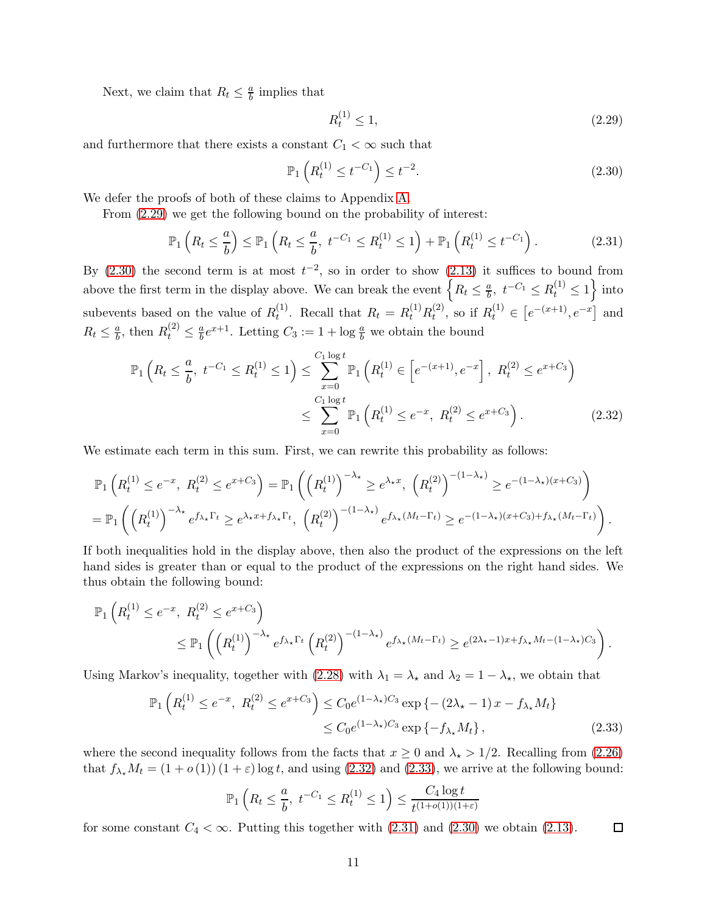Next, we claim that  $R_t \leq \frac{a}{b}$  implies that

<span id="page-10-0"></span>
$$
R_t^{(1)} \le 1,\t\t(2.29)
$$

and furthermore that there exists a constant  $C_1 < \infty$  such that

<span id="page-10-2"></span><span id="page-10-1"></span>
$$
\mathbb{P}_1\left(R_t^{(1)} \le t^{-C_1}\right) \le t^{-2}.\tag{2.30}
$$

We defer the proofs of both of these claims to Appendix [A.](#page-17-3)

From [\(2.29\)](#page-10-0) we get the following bound on the probability of interest:

<span id="page-10-4"></span>
$$
\mathbb{P}_1\left(R_t \leq \frac{a}{b}\right) \leq \mathbb{P}_1\left(R_t \leq \frac{a}{b}, t^{-C_1} \leq R_t^{(1)} \leq 1\right) + \mathbb{P}_1\left(R_t^{(1)} \leq t^{-C_1}\right). \tag{2.31}
$$

By  $(2.30)$  the second term is at most  $t^{-2}$ , so in order to show  $(2.13)$  it suffices to bound from above the first term in the display above. We can break the event  $\left\{ R_t \leq \frac{a}{b} \right\}$  $\frac{a}{b}$ ,  $t^{-C_1} \le R_t^{(1)} \le 1$  into subevents based on the value of  $R_t^{(1)}$ <sup>(1)</sup>. Recall that  $R_t = R_t^{(1)} R_t^{(2)}$  $t^{(2)}$ , so if  $R_t^{(1)} \in [e^{-(x+1)}, e^{-x}]$  and  $R_t \leq \frac{a}{b}$  $\frac{a}{b}$ , then  $R_t^{(2)} \leq \frac{a}{b}$  $\frac{a}{b}e^{x+1}$ . Letting  $C_3 := 1 + \log \frac{a}{b}$  we obtain the bound

$$
\mathbb{P}_1\left(R_t \leq \frac{a}{b}, t^{-C_1} \leq R_t^{(1)} \leq 1\right) \leq \sum_{x=0}^{C_1 \log t} \mathbb{P}_1\left(R_t^{(1)} \in \left[e^{-(x+1)}, e^{-x}\right], R_t^{(2)} \leq e^{x+C_3}\right)
$$
\n
$$
\leq \sum_{x=0}^{C_1 \log t} \mathbb{P}_1\left(R_t^{(1)} \leq e^{-x}, R_t^{(2)} \leq e^{x+C_3}\right).
$$
\n(2.32)

We estimate each term in this sum. First, we can rewrite this probability as follows:

$$
\mathbb{P}_1\left(R_t^{(1)} \leq e^{-x}, R_t^{(2)} \leq e^{x+C_3}\right) = \mathbb{P}_1\left(\left(R_t^{(1)}\right)^{-\lambda_\star} \geq e^{\lambda_\star x}, \left(R_t^{(2)}\right)^{-(1-\lambda_\star)} \geq e^{-(1-\lambda_\star)(x+C_3)}\right)
$$
\n
$$
= \mathbb{P}_1\left(\left(R_t^{(1)}\right)^{-\lambda_\star} e^{f_{\lambda_\star}\Gamma_t} \geq e^{\lambda_\star x+f_{\lambda_\star}\Gamma_t}, \left(R_t^{(2)}\right)^{-(1-\lambda_\star)} e^{f_{\lambda_\star}(M_t-\Gamma_t)} \geq e^{-(1-\lambda_\star)(x+C_3)+f_{\lambda_\star}(M_t-\Gamma_t)}\right).
$$

If both inequalities hold in the display above, then also the product of the expressions on the left hand sides is greater than or equal to the product of the expressions on the right hand sides. We thus obtain the following bound:

$$
\mathbb{P}_1\left(R_t^{(1)} \le e^{-x}, R_t^{(2)} \le e^{x+C_3}\right)
$$
  

$$
\le \mathbb{P}_1\left(\left(R_t^{(1)}\right)^{-\lambda_\star} e^{f_{\lambda_\star} \Gamma_t} \left(R_t^{(2)}\right)^{-(1-\lambda_\star)} e^{f_{\lambda_\star}(M_t-\Gamma_t)} \ge e^{(2\lambda_\star-1)x+f_{\lambda_\star}M_t-(1-\lambda_\star)C_3}\right).
$$

Using Markov's inequality, together with [\(2.28\)](#page-9-4) with  $\lambda_1 = \lambda_{\star}$  and  $\lambda_2 = 1 - \lambda_{\star}$ , we obtain that

$$
\mathbb{P}_1\left(R_t^{(1)} \le e^{-x}, \ R_t^{(2)} \le e^{x+C_3}\right) \le C_0 e^{(1-\lambda_\star)C_3} \exp\left\{-(2\lambda_\star - 1)x - f_{\lambda_\star}M_t\right\}
$$
  

$$
\le C_0 e^{(1-\lambda_\star)C_3} \exp\left\{-f_{\lambda_\star}M_t\right\},
$$
 (2.33)

where the second inequality follows from the facts that  $x \ge 0$  and  $\lambda_{\star} > 1/2$ . Recalling from [\(2.26\)](#page-9-5) that  $f_{\lambda_t}M_t = (1 + o(1))(1 + \varepsilon) \log t$ , and using [\(2.32\)](#page-10-2) and [\(2.33\)](#page-10-3), we arrive at the following bound:

<span id="page-10-3"></span>
$$
\mathbb{P}_1\left(R_t \leq \frac{a}{b}, \ t^{-C_1} \leq R_t^{(1)} \leq 1\right) \leq \frac{C_4 \log t}{t^{(1+o(1))(1+\varepsilon)}}
$$

for some constant  $C_4 < \infty$ . Putting this together with  $(2.31)$  and  $(2.30)$  we obtain  $(2.13)$ .  $\Box$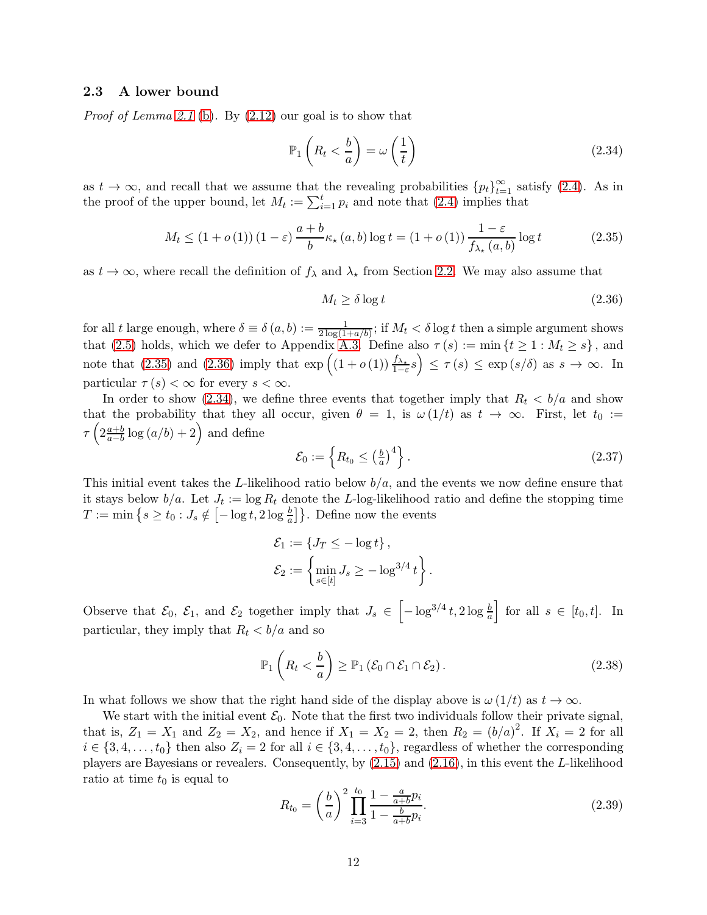### <span id="page-11-0"></span>2.3 A lower bound

*Proof of Lemma [2.1](#page-5-0)* [\(b\)](#page-5-7)*.* By [\(2.12\)](#page-7-3) our goal is to show that

<span id="page-11-3"></span>
$$
\mathbb{P}_1\left(R_t < \frac{b}{a}\right) = \omega\left(\frac{1}{t}\right) \tag{2.34}
$$

as  $t \to \infty$ , and recall that we assume that the revealing probabilities  ${p_t}_{t=1}^{\infty}$  satisfy [\(2.4\)](#page-5-4). As in the proof of the upper bound, let  $M_t := \sum_{i=1}^t p_i$  and note that [\(2.4\)](#page-5-4) implies that

<span id="page-11-1"></span>
$$
M_t \le (1 + o(1)) (1 - \varepsilon) \frac{a + b}{b} \kappa_\star (a, b) \log t = (1 + o(1)) \frac{1 - \varepsilon}{f_{\lambda_\star} (a, b)} \log t \tag{2.35}
$$

as  $t \to \infty$ , where recall the definition of  $f_{\lambda}$  and  $\lambda_{\star}$  from Section [2.2.](#page-7-0) We may also assume that

<span id="page-11-2"></span>
$$
M_t \ge \delta \log t \tag{2.36}
$$

for all t large enough, where  $\delta \equiv \delta(a, b) := \frac{1}{2 \log(1 + a/b)}$ ; if  $M_t < \delta \log t$  then a simple argument shows that [\(2.5\)](#page-5-8) holds, which we defer to Appendix [A.3.](#page-18-0) Define also  $\tau(s) := \min\{t \geq 1 : M_t \geq s\}$ , and note that [\(2.35\)](#page-11-1) and [\(2.36\)](#page-11-2) imply that  $\exp\left((1+o(1))\frac{f_{\lambda_*}}{1-\varepsilon}s\right) \leq \tau(s) \leq \exp\left(s/\delta\right)$  as  $s \to \infty$ . In particular  $\tau(s) < \infty$  for every  $s < \infty$ .

In order to show [\(2.34\)](#page-11-3), we define three events that together imply that  $R_t < b/a$  and show that the probability that they all occur, given  $\theta = 1$ , is  $\omega(1/t)$  as  $t \to \infty$ . First, let  $t_0 :=$  $\tau\left(2\frac{a+b}{a-b}\right)$  $\frac{a+b}{a-b}\log(a/b)+2\right)$  and define

$$
\mathcal{E}_0 := \left\{ R_{t_0} \le \left(\frac{b}{a}\right)^4 \right\}.
$$
\n(2.37)

This initial event takes the L-likelihood ratio below  $b/a$ , and the events we now define ensure that it stays below  $b/a$ . Let  $J_t := \log R_t$  denote the L-log-likelihood ratio and define the stopping time  $T := \min\left\{s \geq t_0 : J_s \notin \left[-\log t, 2\log \frac{b}{a}\right]\right\}$ . Define now the events

$$
\mathcal{E}_1 := \{ J_T \le -\log t \},
$$
  

$$
\mathcal{E}_2 := \left\{ \min_{s \in [t]} J_s \ge -\log^{3/4} t \right\}.
$$

Observe that  $\mathcal{E}_0$ ,  $\mathcal{E}_1$ , and  $\mathcal{E}_2$  together imply that  $J_s \in \left[-\log^{3/4} t, 2\log \frac{b}{a}\right]$  $\Big\}$  for all  $s \in [t_0, t]$ . In particular, they imply that  $R_t < b/a$  and so

<span id="page-11-5"></span>
$$
\mathbb{P}_1\left(R_t < \frac{b}{a}\right) \ge \mathbb{P}_1\left(\mathcal{E}_0 \cap \mathcal{E}_1 \cap \mathcal{E}_2\right). \tag{2.38}
$$

In what follows we show that the right hand side of the display above is  $\omega(1/t)$  as  $t \to \infty$ .

We start with the initial event  $\mathcal{E}_0$ . Note that the first two individuals follow their private signal, that is,  $Z_1 = X_1$  and  $Z_2 = X_2$ , and hence if  $X_1 = X_2 = 2$ , then  $R_2 = (b/a)^2$ . If  $X_i = 2$  for all  $i \in \{3, 4, \ldots, t_0\}$  then also  $Z_i = 2$  for all  $i \in \{3, 4, \ldots, t_0\}$ , regardless of whether the corresponding players are Bayesians or revealers. Consequently, by [\(2.15\)](#page-8-7) and [\(2.16\)](#page-8-8), in this event the L-likelihood ratio at time  $t_0$  is equal to

<span id="page-11-4"></span>
$$
R_{t_0} = \left(\frac{b}{a}\right)^2 \prod_{i=3}^{t_0} \frac{1 - \frac{a}{a+b} p_i}{1 - \frac{b}{a+b} p_i}.
$$
\n(2.39)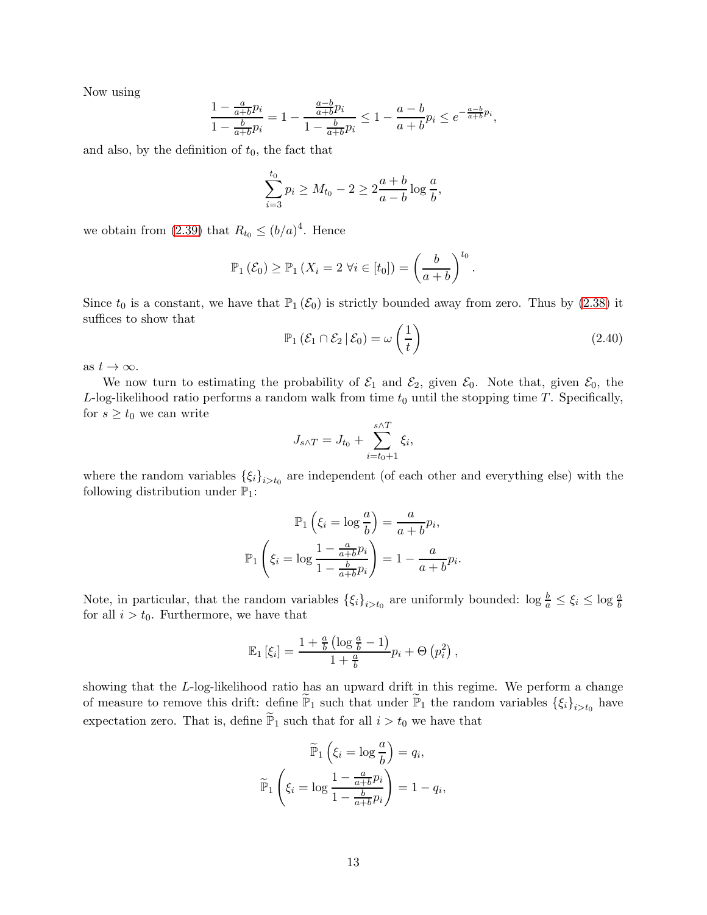Now using

$$
\frac{1 - \frac{a}{a+b}p_i}{1 - \frac{b}{a+b}p_i} = 1 - \frac{\frac{a-b}{a+b}p_i}{1 - \frac{b}{a+b}p_i} \le 1 - \frac{a-b}{a+b}p_i \le e^{-\frac{a-b}{a+b}p_i},
$$

and also, by the definition of  $t_0$ , the fact that

$$
\sum_{i=3}^{t_0} p_i \ge M_{t_0} - 2 \ge 2\frac{a+b}{a-b} \log \frac{a}{b},
$$

we obtain from [\(2.39\)](#page-11-4) that  $R_{t_0} \leq (b/a)^4$ . Hence

$$
\mathbb{P}_1(\mathcal{E}_0) \ge \mathbb{P}_1(X_i = 2 \,\forall i \in [t_0]) = \left(\frac{b}{a+b}\right)^{t_0}.
$$

Since  $t_0$  is a constant, we have that  $\mathbb{P}_1(\mathcal{E}_0)$  is strictly bounded away from zero. Thus by [\(2.38\)](#page-11-5) it suffices to show that

<span id="page-12-0"></span>
$$
\mathbb{P}_1\left(\mathcal{E}_1 \cap \mathcal{E}_2 \,|\, \mathcal{E}_0\right) = \omega\left(\frac{1}{t}\right) \tag{2.40}
$$

.

as  $t \to \infty$ .

We now turn to estimating the probability of  $\mathcal{E}_1$  and  $\mathcal{E}_2$ , given  $\mathcal{E}_0$ . Note that, given  $\mathcal{E}_0$ , the L-log-likelihood ratio performs a random walk from time  $t_0$  until the stopping time T. Specifically, for  $s \geq t_0$  we can write

$$
J_{s\wedge T} = J_{t_0} + \sum_{i=t_0+1}^{s\wedge T} \xi_i,
$$

where the random variables  $\{\xi_i\}_{i>t_0}$  are independent (of each other and everything else) with the following distribution under  $\mathbb{P}_1$ :

$$
\mathbb{P}_1\left(\xi_i = \log \frac{a}{b}\right) = \frac{a}{a+b}p_i,
$$

$$
\mathbb{P}_1\left(\xi_i = \log \frac{1 - \frac{a}{a+b}p_i}{1 - \frac{b}{a+b}p_i}\right) = 1 - \frac{a}{a+b}p_i
$$

Note, in particular, that the random variables  $\{\xi_i\}_{i>t_0}$  are uniformly bounded:  $\log \frac{b}{a} \leq \xi_i \leq \log \frac{a}{b}$ for all  $i > t_0$ . Furthermore, we have that

$$
\mathbb{E}_1\left[\xi_i\right] = \frac{1 + \frac{a}{b}\left(\log\frac{a}{b} - 1\right)}{1 + \frac{a}{b}}p_i + \Theta\left(p_i^2\right),\,
$$

showing that the L-log-likelihood ratio has an upward drift in this regime. We perform a change of measure to remove this drift: define  $\tilde{\mathbb{P}}_1$  such that under  $\tilde{\mathbb{P}}_1$  the random variables  $\{\xi_i\}_{i>t_0}$  have expectation zero. That is, define  $\widetilde{\mathbb{P}}_1$  such that for all  $i > t_0$  we have that

$$
\widetilde{\mathbb{P}}_1\left(\xi_i = \log \frac{a}{b}\right) = q_i,
$$

$$
\widetilde{\mathbb{P}}_1\left(\xi_i = \log \frac{1 - \frac{a}{a+b}p_i}{1 - \frac{b}{a+b}p_i}\right) = 1 - q_i,
$$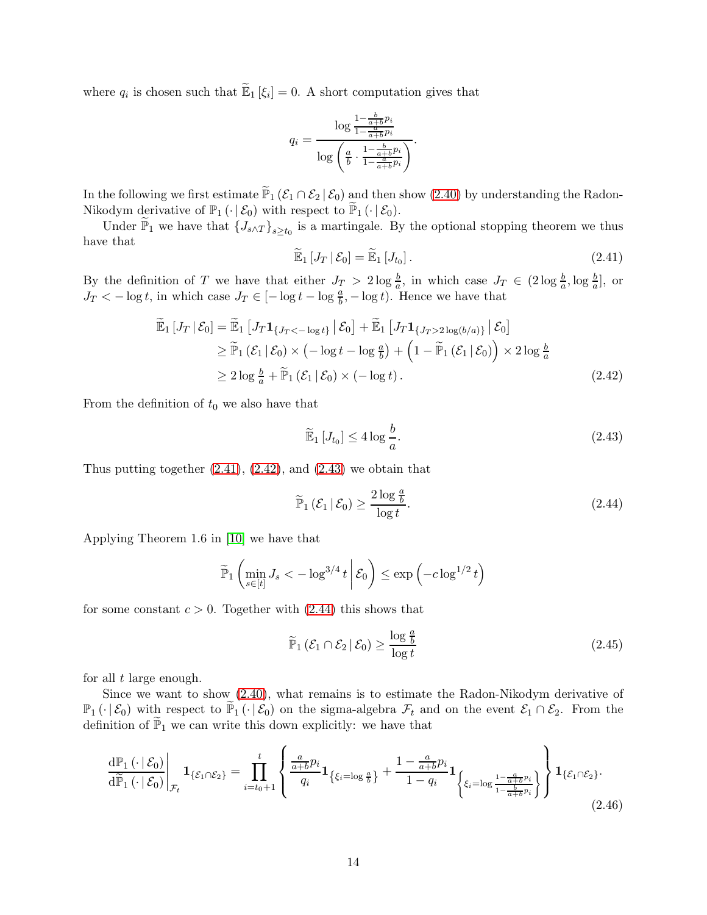where  $q_i$  is chosen such that  $\widetilde{\mathbb{E}}_1[\xi_i] = 0$ . A short computation gives that

$$
q_i = \frac{\log \frac{1 - \frac{b}{a+b}p_i}{1 - \frac{a}{a+b}p_i}}{\log \left(\frac{a}{b} \cdot \frac{1 - \frac{b}{a+b}p_i}{1 - \frac{b}{a+b}p_i}\right)}.
$$

In the following we first estimate  $\widetilde{\mathbb{P}}_1$  ( $\mathcal{E}_1 \cap \mathcal{E}_2 | \mathcal{E}_0$ ) and then show [\(2.40\)](#page-12-0) by understanding the Radon-Nikodym derivative of  $\mathbb{P}_1(\cdot | \mathcal{E}_0)$  with respect to  $\widetilde{\mathbb{P}}_1(\cdot | \mathcal{E}_0)$ .

Under  $\widetilde{\mathbb{P}}_1$  we have that  $\{J_{s \wedge T}\}_{{s \geq t_0}}$  is a martingale. By the optional stopping theorem we thus have that

<span id="page-13-0"></span>
$$
\widetilde{\mathbb{E}}_1\left[J_T\,|\,\mathcal{E}_0\right] = \widetilde{\mathbb{E}}_1\left[J_{t_0}\right].\tag{2.41}
$$

By the definition of T we have that either  $J_T > 2 \log \frac{b}{a}$ , in which case  $J_T \in (2 \log \frac{b}{a}, \log \frac{b}{a}]$ , or  $J_T < -\log t$ , in which case  $J_T \in [-\log t - \log \frac{a}{b}, -\log t)$ . Hence we have that

$$
\widetilde{\mathbb{E}}_1 \left[ J_T \, \middle| \, \mathcal{E}_0 \right] = \widetilde{\mathbb{E}}_1 \left[ J_T \mathbf{1}_{\{J_T < -\log t\}} \, \middle| \, \mathcal{E}_0 \right] + \widetilde{\mathbb{E}}_1 \left[ J_T \mathbf{1}_{\{J_T > 2\log(b/a)\}} \, \middle| \, \mathcal{E}_0 \right] \\
\geq \widetilde{\mathbb{P}}_1 \left( \mathcal{E}_1 \, \middle| \, \mathcal{E}_0 \right) \times \left( -\log t - \log \frac{a}{b} \right) + \left( 1 - \widetilde{\mathbb{P}}_1 \left( \mathcal{E}_1 \, \middle| \, \mathcal{E}_0 \right) \right) \times 2 \log \frac{b}{a} \\
\geq 2 \log \frac{b}{a} + \widetilde{\mathbb{P}}_1 \left( \mathcal{E}_1 \, \middle| \, \mathcal{E}_0 \right) \times \left( -\log t \right). \tag{2.42}
$$

From the definition of  $t_0$  we also have that

<span id="page-13-2"></span><span id="page-13-1"></span>
$$
\widetilde{\mathbb{E}}_1\left[J_{t_0}\right] \le 4\log\frac{b}{a}.\tag{2.43}
$$

Thus putting together  $(2.41)$ ,  $(2.42)$ , and  $(2.43)$  we obtain that

<span id="page-13-3"></span>
$$
\widetilde{\mathbb{P}}_1(\mathcal{E}_1 \mid \mathcal{E}_0) \ge \frac{2 \log \frac{a}{b}}{\log t}.\tag{2.44}
$$

Applying Theorem 1.6 in [\[10\]](#page-16-16) we have that

$$
\widetilde{\mathbb{P}}_1\left(\min_{s\in[t]}J_s < -\log^{3/4}t\,\bigg|\,\mathcal{E}_0\right) \leq \exp\left(-c\log^{1/2}t\right)
$$

for some constant  $c > 0$ . Together with  $(2.44)$  this shows that

<span id="page-13-5"></span>
$$
\widetilde{\mathbb{P}}_1(\mathcal{E}_1 \cap \mathcal{E}_2 | \mathcal{E}_0) \ge \frac{\log \frac{a}{b}}{\log t} \tag{2.45}
$$

for all  $t$  large enough.

Since we want to show [\(2.40\)](#page-12-0), what remains is to estimate the Radon-Nikodym derivative of  $\mathbb{P}_1(\cdot|\mathcal{E}_0)$  with respect to  $\widetilde{\mathbb{P}}_1(\cdot|\mathcal{E}_0)$  on the sigma-algebra  $\mathcal{F}_t$  and on the event  $\mathcal{E}_1 \cap \mathcal{E}_2$ . From the definition of  $\widetilde{\mathbb{P}}_1$  we can write this down explicitly: we have that

<span id="page-13-4"></span>
$$
\frac{\mathrm{d}\mathbb{P}_1\left(\cdot\mid \mathcal{E}_0\right)}{\mathrm{d}\widetilde{\mathbb{P}}_1\left(\cdot\mid \mathcal{E}_0\right)}\Bigg|_{\mathcal{F}_t} \mathbf{1}_{\{\mathcal{E}_1 \cap \mathcal{E}_2\}} = \prod_{i=t_0+1}^t \left\{\frac{\frac{a}{a+b}p_i}{q_i} \mathbf{1}_{\{\xi_i=\log\frac{a}{b}\}} + \frac{1-\frac{a}{a+b}p_i}{1-q_i} \mathbf{1}_{\{\xi_i=\log\frac{1-\frac{a}{a+b}p_i}{1-\frac{b}{a+b}p_i}\}}\right\} \mathbf{1}_{\{\mathcal{E}_1 \cap \mathcal{E}_2\}}.\tag{2.46}
$$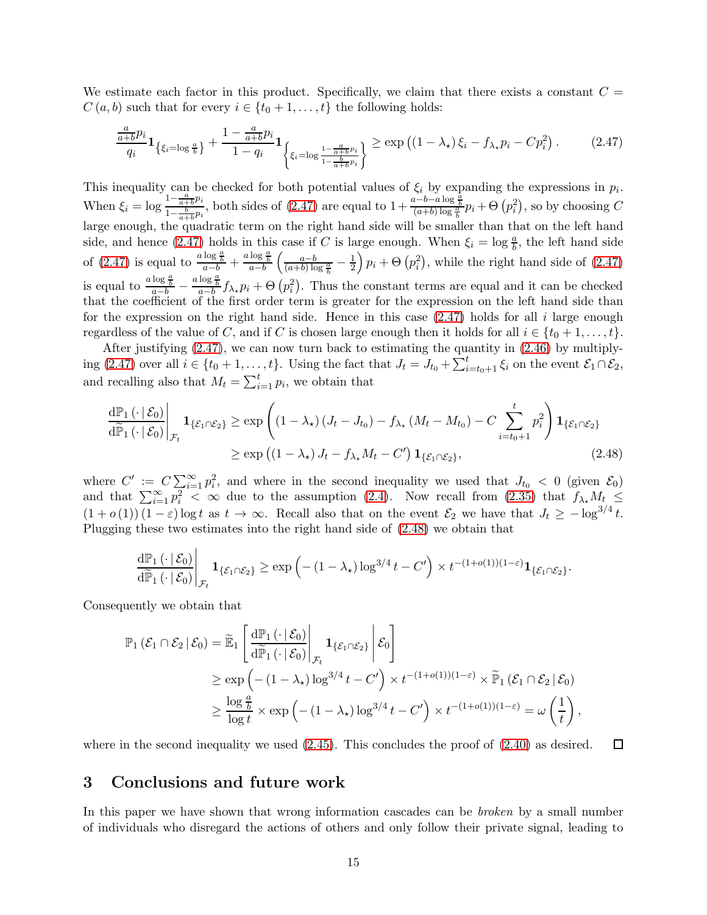We estimate each factor in this product. Specifically, we claim that there exists a constant  $C =$  $C(a, b)$  such that for every  $i \in \{t_0 + 1, \ldots, t\}$  the following holds:

<span id="page-14-0"></span>
$$
\frac{\frac{a}{a+b}p_i}{q_i} \mathbf{1}_{\{\xi_i = \log \frac{a}{b}\}} + \frac{1 - \frac{a}{a+b}p_i}{1 - q_i} \mathbf{1}_{\left\{\xi_i = \log \frac{1 - \frac{a}{a+b}p_i}{1 - \frac{b}{a+b}p_i}\right\}} \ge \exp\left((1 - \lambda_\star)\xi_i - f_{\lambda_\star}p_i - Cp_i^2\right). \tag{2.47}
$$

This inequality can be checked for both potential values of  $\xi_i$  by expanding the expressions in  $p_i$ . When  $\xi_i = \log \frac{1 - \frac{a}{a+b}p_i}{1 - \frac{b}{b}}$  $\frac{1-\frac{a}{a+b}p_i}{1-\frac{b}{a+b}p_i}$ , both sides of  $(2.47)$  are equal to  $1+\frac{a-b-a\log\frac{a}{b}}{(a+b)\log\frac{a}{b}}p_i+\Theta(p_i^2)$ , so by choosing C large enough, the quadratic term on the right hand side will be smaller than that on the left hand side, and hence [\(2.47\)](#page-14-0) holds in this case if C is large enough. When  $\xi_i = \log \frac{a}{b}$ , the left hand side of [\(2.47\)](#page-14-0) is equal to  $\frac{a \log \frac{a}{b}}{a-b} + \frac{a \log \frac{a}{b}}{a-b}$  $\left(\frac{a-b}{(a+b)\log \frac{a}{b}}-\frac{1}{2}\right)$ 2  $\left( p_i^2 \right)$ , while the right hand side of  $(2.47)$ is equal to  $\frac{a \log \frac{a}{b}}{a-b} - \frac{a \log \frac{a}{b}}{a-b} f_{\lambda_*} p_i + \Theta(p_i^2)$ . Thus the constant terms are equal and it can be checked that the coefficient of the first order term is greater for the expression on the left hand side than for the expression on the right hand side. Hence in this case  $(2.47)$  holds for all i large enough regardless of the value of C, and if C is chosen large enough then it holds for all  $i \in \{t_0 + 1, \ldots, t\}$ .

After justifying [\(2.47\)](#page-14-0), we can now turn back to estimating the quantity in [\(2.46\)](#page-13-4) by multiply-ing [\(2.47\)](#page-14-0) over all  $i \in \{t_0 + 1, \ldots, t\}$ . Using the fact that  $J_t = J_{t_0} + \sum_{i=t_0+1}^t \xi_i$  on the event  $\mathcal{E}_1 \cap \mathcal{E}_2$ , and recalling also that  $M_t = \sum_{i=1}^t p_i$ , we obtain that

$$
\frac{\mathrm{d}\mathbb{P}_1\left(\cdot\mid \mathcal{E}_0\right)}{\mathrm{d}\widetilde{\mathbb{P}}_1\left(\cdot\mid \mathcal{E}_0\right)}\Big|_{\mathcal{F}_t} \mathbf{1}_{\{\mathcal{E}_1 \cap \mathcal{E}_2\}} \ge \exp\left((1-\lambda_\star)\left(J_t-J_{t_0}\right)-f_{\lambda_\star}\left(M_t-M_{t_0}\right)-C\sum_{i=t_0+1}^t p_i^2\right)\mathbf{1}_{\{\mathcal{E}_1 \cap \mathcal{E}_2\}}\n\n\ge \exp\left((1-\lambda_\star)J_t-f_{\lambda_\star}M_t-C'\right)\mathbf{1}_{\{\mathcal{E}_1 \cap \mathcal{E}_2\}},\n\n(2.48)
$$

where  $C' := C \sum_{i=1}^{\infty} p_i^2$ , and where in the second inequality we used that  $J_{t_0} < 0$  (given  $\mathcal{E}_0$ ) and that  $\sum_{i=1}^{\infty} p_i^2 < \infty$  due to the assumption [\(2.4\)](#page-5-4). Now recall from [\(2.35\)](#page-11-1) that  $f_{\lambda_*} M_t \leq$  $(1+o(1))(1-\varepsilon) \log t$  as  $t \to \infty$ . Recall also that on the event  $\mathcal{E}_2$  we have that  $J_t \geq -\log^{3/4} t$ . Plugging these two estimates into the right hand side of [\(2.48\)](#page-14-1) we obtain that

<span id="page-14-1"></span>
$$
\frac{\mathrm{d}\mathbb{P}_1\left(\cdot\left|\mathcal{E}_0\right)\right|}{\mathrm{d}\widetilde{\mathbb{P}}_1\left(\cdot\left|\mathcal{E}_0\right)\right|_{\mathcal{F}_t}}\mathbf{1}_{\{\mathcal{E}_1\cap\mathcal{E}_2\}} \geq \exp\left(-(1-\lambda_\star)\log^{3/4}t-C'\right) \times t^{-(1+o(1))(1-\varepsilon)}\mathbf{1}_{\{\mathcal{E}_1\cap\mathcal{E}_2\}}.
$$

Consequently we obtain that

$$
\mathbb{P}_1(\mathcal{E}_1 \cap \mathcal{E}_2 | \mathcal{E}_0) = \widetilde{\mathbb{E}}_1 \left[ \frac{d\mathbb{P}_1(\cdot | \mathcal{E}_0)}{d\widetilde{\mathbb{P}}_1(\cdot | \mathcal{E}_0)} \middle|_{\mathcal{F}_t} \mathbf{1}_{\{\mathcal{E}_1 \cap \mathcal{E}_2\}} \middle| \mathcal{E}_0 \right] \n\ge \exp\left(-(1 - \lambda_\star) \log^{3/4} t - C'\right) \times t^{-(1+o(1))(1-\varepsilon)} \times \widetilde{\mathbb{P}}_1(\mathcal{E}_1 \cap \mathcal{E}_2 | \mathcal{E}_0) \n\ge \frac{\log \frac{a}{b}}{\log t} \times \exp\left(-(1 - \lambda_\star) \log^{3/4} t - C'\right) \times t^{-(1+o(1))(1-\varepsilon)} = \omega\left(\frac{1}{t}\right),
$$

 $\Box$ where in the second inequality we used  $(2.45)$ . This concludes the proof of  $(2.40)$  as desired.

## 3 Conclusions and future work

In this paper we have shown that wrong information cascades can be *broken* by a small number of individuals who disregard the actions of others and only follow their private signal, leading to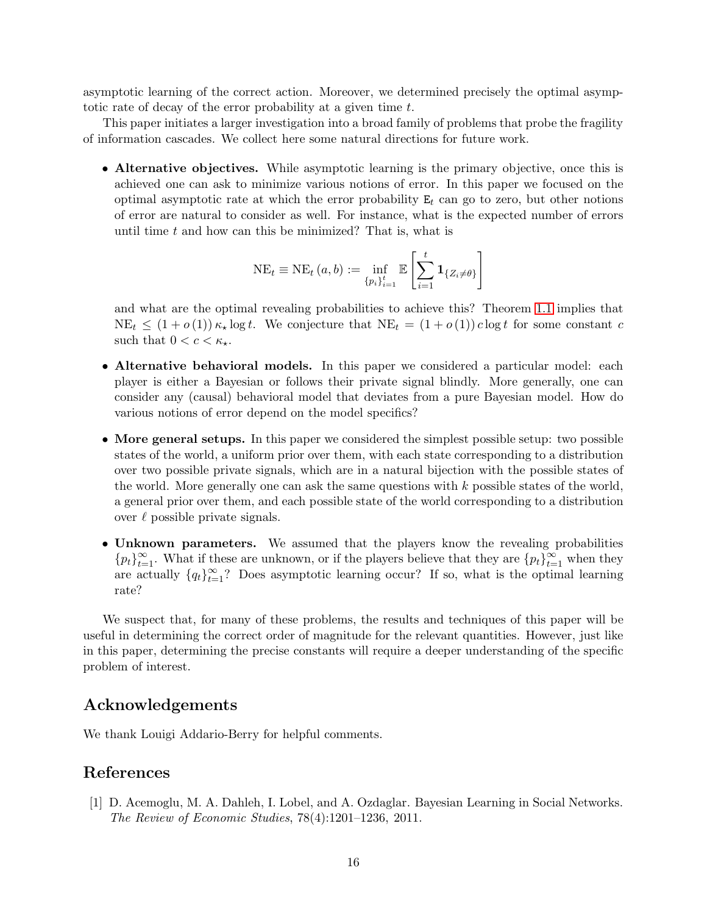asymptotic learning of the correct action. Moreover, we determined precisely the optimal asymptotic rate of decay of the error probability at a given time t.

This paper initiates a larger investigation into a broad family of problems that probe the fragility of information cascades. We collect here some natural directions for future work.

• Alternative objectives. While asymptotic learning is the primary objective, once this is achieved one can ask to minimize various notions of error. In this paper we focused on the optimal asymptotic rate at which the error probability  $E_t$  can go to zero, but other notions of error are natural to consider as well. For instance, what is the expected number of errors until time  $t$  and how can this be minimized? That is, what is

$$
NE_{t} \equiv NE_{t}(a, b) := \inf_{\{p_{i}\}_{i=1}^{t}} \mathbb{E}\left[\sum_{i=1}^{t} \mathbf{1}_{\{Z_{i} \neq \theta\}}\right]
$$

and what are the optimal revealing probabilities to achieve this? Theorem [1.1](#page-2-3) implies that  $NE_t \leq (1+o(1)) \kappa_{\star} \log t$ . We conjecture that  $NE_t = (1+o(1)) c \log t$  for some constant c such that  $0 < c < \kappa_{\star}$ .

- Alternative behavioral models. In this paper we considered a particular model: each player is either a Bayesian or follows their private signal blindly. More generally, one can consider any (causal) behavioral model that deviates from a pure Bayesian model. How do various notions of error depend on the model specifics?
- More general setups. In this paper we considered the simplest possible setup: two possible states of the world, a uniform prior over them, with each state corresponding to a distribution over two possible private signals, which are in a natural bijection with the possible states of the world. More generally one can ask the same questions with  $k$  possible states of the world, a general prior over them, and each possible state of the world corresponding to a distribution over  $\ell$  possible private signals.
- Unknown parameters. We assumed that the players know the revealing probabilities  ${p_t}_{t=1}^{\infty}$ . What if these are unknown, or if the players believe that they are  ${p_t}_{t=1}^{\infty}$  when they are actually  ${q_t}_{t=1}^{\infty}$ ? Does asymptotic learning occur? If so, what is the optimal learning rate?

We suspect that, for many of these problems, the results and techniques of this paper will be useful in determining the correct order of magnitude for the relevant quantities. However, just like in this paper, determining the precise constants will require a deeper understanding of the specific problem of interest.

# Acknowledgements

We thank Louigi Addario-Berry for helpful comments.

### <span id="page-15-0"></span>References

[1] D. Acemoglu, M. A. Dahleh, I. Lobel, and A. Ozdaglar. Bayesian Learning in Social Networks. *The Review of Economic Studies*, 78(4):1201–1236, 2011.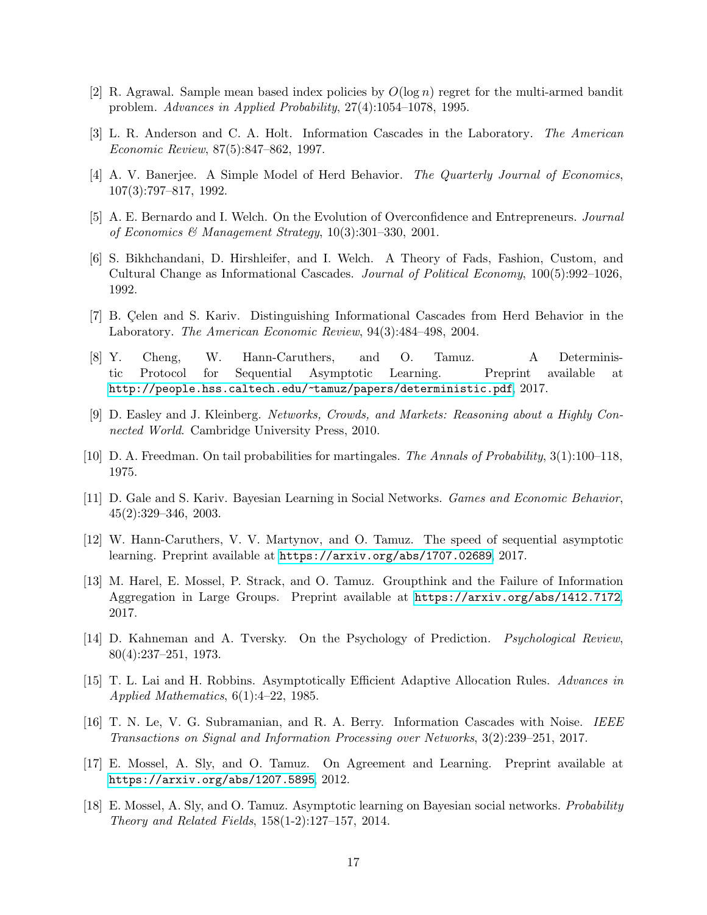- <span id="page-16-10"></span><span id="page-16-3"></span>[2] R. Agrawal. Sample mean based index policies by  $O(\log n)$  regret for the multi-armed bandit problem. *Advances in Applied Probability*, 27(4):1054–1078, 1995.
- <span id="page-16-1"></span>[3] L. R. Anderson and C. A. Holt. Information Cascades in the Laboratory. *The American Economic Review*, 87(5):847–862, 1997.
- <span id="page-16-4"></span>[4] A. V. Banerjee. A Simple Model of Herd Behavior. *The Quarterly Journal of Economics*, 107(3):797–817, 1992.
- <span id="page-16-2"></span>[5] A. E. Bernardo and I. Welch. On the Evolution of Overconfidence and Entrepreneurs. *Journal of Economics & Management Strategy*, 10(3):301–330, 2001.
- [6] S. Bikhchandani, D. Hirshleifer, and I. Welch. A Theory of Fads, Fashion, Custom, and Cultural Change as Informational Cascades. *Journal of Political Economy*, 100(5):992–1026, 1992.
- <span id="page-16-6"></span>[7] B. Celen and S. Kariv. Distinguishing Informational Cascades from Herd Behavior in the Laboratory. *The American Economic Review*, 94(3):484–498, 2004.
- <span id="page-16-7"></span>[8] Y. Cheng, W. Hann-Caruthers, and O. Tamuz. A Deterministic Protocol for Sequential Asymptotic Learning. Preprint available at <http://people.hss.caltech.edu/~tamuz/papers/deterministic.pdf>, 2017.
- <span id="page-16-16"></span><span id="page-16-0"></span>[9] D. Easley and J. Kleinberg. *Networks, Crowds, and Markets: Reasoning about a Highly Connected World*. Cambridge University Press, 2010.
- <span id="page-16-13"></span>[10] D. A. Freedman. On tail probabilities for martingales. *The Annals of Probability*, 3(1):100–118, 1975.
- <span id="page-16-11"></span>[11] D. Gale and S. Kariv. Bayesian Learning in Social Networks. *Games and Economic Behavior*, 45(2):329–346, 2003.
- <span id="page-16-12"></span>[12] W. Hann-Caruthers, V. V. Martynov, and O. Tamuz. The speed of sequential asymptotic learning. Preprint available at <https://arxiv.org/abs/1707.02689>, 2017.
- [13] M. Harel, E. Mossel, P. Strack, and O. Tamuz. Groupthink and the Failure of Information Aggregation in Large Groups. Preprint available at <https://arxiv.org/abs/1412.7172>, 2017.
- <span id="page-16-5"></span>[14] D. Kahneman and A. Tversky. On the Psychology of Prediction. *Psychological Review*, 80(4):237–251, 1973.
- <span id="page-16-9"></span>[15] T. L. Lai and H. Robbins. Asymptotically Efficient Adaptive Allocation Rules. *Advances in Applied Mathematics*, 6(1):4–22, 1985.
- <span id="page-16-8"></span>[16] T. N. Le, V. G. Subramanian, and R. A. Berry. Information Cascades with Noise. *IEEE Transactions on Signal and Information Processing over Networks*, 3(2):239–251, 2017.
- <span id="page-16-14"></span>[17] E. Mossel, A. Sly, and O. Tamuz. On Agreement and Learning. Preprint available at <https://arxiv.org/abs/1207.5895>, 2012.
- <span id="page-16-15"></span>[18] E. Mossel, A. Sly, and O. Tamuz. Asymptotic learning on Bayesian social networks. *Probability Theory and Related Fields*, 158(1-2):127–157, 2014.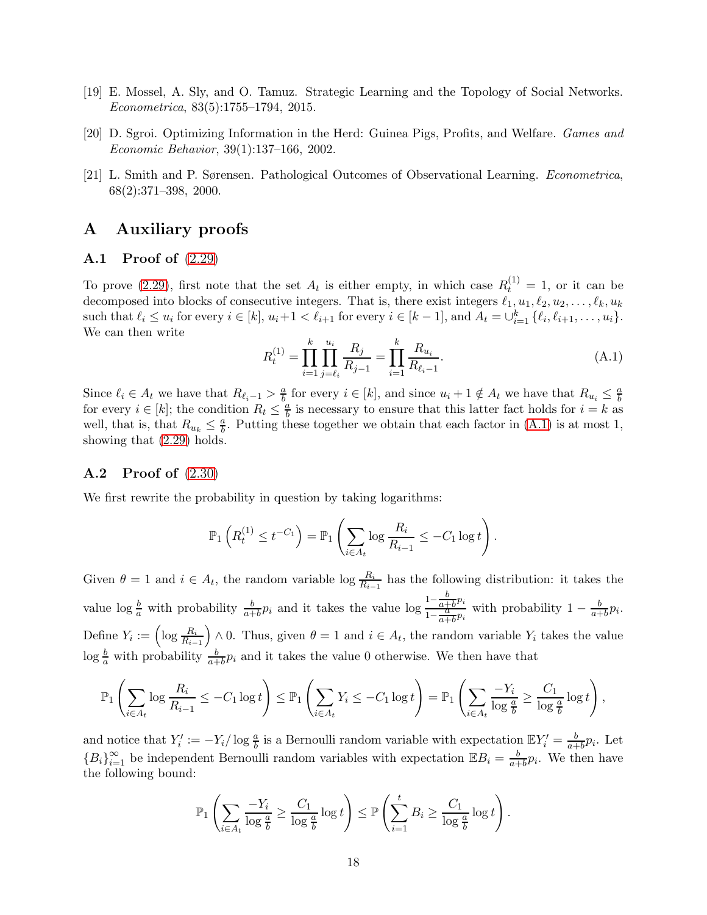- <span id="page-17-2"></span><span id="page-17-0"></span>[19] E. Mossel, A. Sly, and O. Tamuz. Strategic Learning and the Topology of Social Networks. *Econometrica*, 83(5):1755–1794, 2015.
- <span id="page-17-1"></span>[20] D. Sgroi. Optimizing Information in the Herd: Guinea Pigs, Profits, and Welfare. *Games and Economic Behavior*, 39(1):137–166, 2002.
- [21] L. Smith and P. Sørensen. Pathological Outcomes of Observational Learning. *Econometrica*, 68(2):371–398, 2000.

## <span id="page-17-3"></span>A Auxiliary proofs

#### A.1 Proof of [\(2.29\)](#page-10-0)

To prove [\(2.29\)](#page-10-0), first note that the set  $A_t$  is either empty, in which case  $R_t^{(1)} = 1$ , or it can be decomposed into blocks of consecutive integers. That is, there exist integers  $\ell_1, u_1, \ell_2, u_2, \ldots, \ell_k, u_k$ such that  $\ell_i \leq u_i$  for every  $i \in [k]$ ,  $u_i+1 < \ell_{i+1}$  for every  $i \in [k-1]$ , and  $A_t = \bigcup_{i=1}^k {\ell_i, \ell_{i+1}, \ldots, \ell_i}$ . We can then write

<span id="page-17-4"></span>
$$
R_t^{(1)} = \prod_{i=1}^k \prod_{j=\ell_i}^{u_i} \frac{R_j}{R_{j-1}} = \prod_{i=1}^k \frac{R_{u_i}}{R_{\ell_i-1}}.
$$
\n(A.1)

Since  $\ell_i \in A_t$  we have that  $R_{\ell_i-1} > \frac{a}{b}$  $\frac{a}{b}$  for every  $i \in [k]$ , and since  $u_i + 1 \notin A_t$  we have that  $R_{u_i} \leq \frac{a}{b}$ b for every  $i \in [k]$ ; the condition  $R_t \leq \frac{a}{b}$  $\frac{a}{b}$  is necessary to ensure that this latter fact holds for  $i = k$  as well, that is, that  $R_{u_k} \leq \frac{a}{b}$  $\frac{a}{b}$ . Putting these together we obtain that each factor in  $(A.1)$  is at most 1, showing that [\(2.29\)](#page-10-0) holds.

### A.2 Proof of [\(2.30\)](#page-10-1)

We first rewrite the probability in question by taking logarithms:

$$
\mathbb{P}_1\left(R_t^{(1)} \leq t^{-C_1}\right) = \mathbb{P}_1\left(\sum_{i \in A_t} \log \frac{R_i}{R_{i-1}} \leq -C_1 \log t\right).
$$

Given  $\theta = 1$  and  $i \in A_t$ , the random variable log  $\frac{R_i}{R_{i-1}}$  has the following distribution: it takes the value  $\log \frac{b}{a}$  with probability  $\frac{b}{a+b}p_i$  and it takes the value  $\log \frac{1-\frac{b}{a+b}}{1-\frac{a}{b}}$  $\frac{0}{a+b}p_i$  $1-\frac{a}{a}$  $\frac{\frac{a+b^{p_i}}{a}}{\frac{a+b^{p_i}}{a+b^{p_i}}}$  with probability  $1-\frac{b}{a+b^{p_i}}$  $\frac{b}{a+b}p_i.$ Define  $Y_i := \left(\log \frac{R_i}{R_{i-1}}\right)$ ) ∧ 0. Thus, given  $\theta = 1$  and  $i \in A_t$ , the random variable  $Y_i$  takes the value  $\log \frac{b}{a}$  with probability  $\frac{b}{a+b}p_i$  and it takes the value 0 otherwise. We then have that

$$
\mathbb{P}_1\left(\sum_{i\in A_t}\log\frac{R_i}{R_{i-1}}\leq -C_1\log t\right)\leq \mathbb{P}_1\left(\sum_{i\in A_t}Y_i\leq -C_1\log t\right)=\mathbb{P}_1\left(\sum_{i\in A_t}\frac{-Y_i}{\log\frac{a}{b}}\geq \frac{C_1}{\log\frac{a}{b}}\log t\right),
$$

and notice that  $Y'_i := -Y_i/\log \frac{a}{b}$  is a Bernoulli random variable with expectation  $\mathbb{E}Y'_i = \frac{b}{a+b}$  $\frac{b}{a+b}p_i$ . Let  ${B_i}_{i=1}^{\infty}$  be independent Bernoulli random variables with expectation  $\mathbb{E}B_i = \frac{b}{a+1}$  $\frac{b}{a+b}p_i$ . We then have the following bound:

$$
\mathbb{P}_1\left(\sum_{i\in A_t} \frac{-Y_i}{\log\frac{a}{b}} \ge \frac{C_1}{\log\frac{a}{b}}\log t\right) \le \mathbb{P}\left(\sum_{i=1}^t B_i \ge \frac{C_1}{\log\frac{a}{b}}\log t\right).
$$